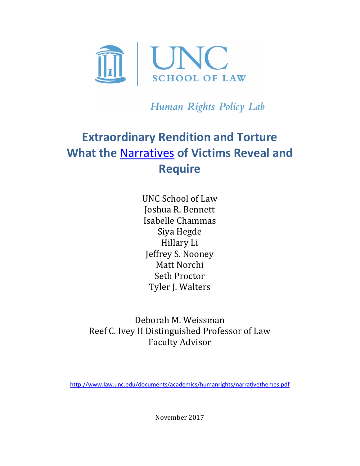

Human Rights Policy Lab

# **Extraordinary Rendition and Torture What the** [Narratives](http://www.law.unc.edu/documents/academics/humanrights/extraordinaryrenditionandNC.pdf) **of Victims Reveal and Require**

UNC School of Law Joshua R. Bennett Isabelle Chammas Siya Hegde Hillary Li Jeffrey S. Nooney Matt Norchi Seth Proctor Tyler J. Walters

Deborah M. Weissman Reef C. Ivey II Distinguished Professor of Law Faculty Advisor

<http://www.law.unc.edu/documents/academics/humanrights/narrativethemes.pdf>

November 2017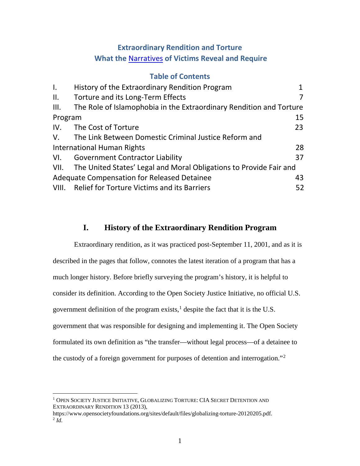# **Extraordinary Rendition and Torture What the** [Narratives](http://www.law.unc.edu/documents/academics/humanrights/extraordinaryrenditionandNC.pdf) **of Victims Reveal and Require**

# **Table of Contents**

| $\mathsf{L}$                                             | History of the Extraordinary Rendition Program                          |    |
|----------------------------------------------------------|-------------------------------------------------------------------------|----|
| ΙΙ.                                                      | Torture and its Long-Term Effects                                       |    |
| III.                                                     | The Role of Islamophobia in the Extraordinary Rendition and Torture     |    |
| 15<br>Program                                            |                                                                         |    |
|                                                          | IV. The Cost of Torture                                                 | 23 |
|                                                          | V. The Link Between Domestic Criminal Justice Reform and                |    |
| <b>International Human Rights</b>                        |                                                                         | 28 |
|                                                          | VI. Government Contractor Liability                                     | 37 |
|                                                          | VII. The United States' Legal and Moral Obligations to Provide Fair and |    |
| <b>Adequate Compensation for Released Detainee</b><br>43 |                                                                         |    |
|                                                          | VIII. Relief for Torture Victims and its Barriers                       | 52 |

# <span id="page-1-3"></span>**I. History of the Extraordinary Rendition Program**

<span id="page-1-0"></span>Extraordinary rendition, as it was practiced post-September 11, 2001, and as it is described in the pages that follow, connotes the latest iteration of a program that has a much longer history. Before briefly surveying the program's history, it is helpful to consider its definition. According to the Open Society Justice Initiative, no official U.S. government definition of the program exists, $<sup>1</sup>$  $<sup>1</sup>$  $<sup>1</sup>$  despite the fact that it is the U.S.</sup> government that was responsible for designing and implementing it. The Open Society formulated its own definition as "the transfer—without legal process—of a detainee to the custody of a foreign government for purposes of detention and interrogation."[2](#page-1-2)

<span id="page-1-1"></span><sup>&</sup>lt;sup>1</sup> OPEN SOCIETY JUSTICE INITIATIVE, GLOBALIZING TORTURE: CIA SECRET DETENTION AND EXTRAORDINARY RENDITION 13 (2013),

<span id="page-1-2"></span>https://www.opensocietyfoundations.org/sites/default/files/globalizing-torture-20120205.pdf.  $^2$  *Id.*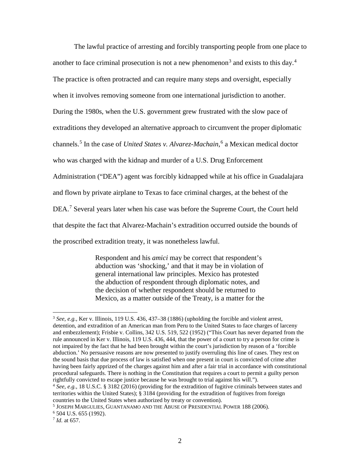<span id="page-2-5"></span>The lawful practice of arresting and forcibly transporting people from one place to another to face criminal prosecution is not a new phenomenon<sup>[3](#page-2-0)</sup> and exists to this day.<sup>[4](#page-2-1)</sup> The practice is often protracted and can require many steps and oversight, especially when it involves removing someone from one international jurisdiction to another. During the 1980s, when the U.S. government grew frustrated with the slow pace of extraditions they developed an alternative approach to circumvent the proper diplomatic channels.[5](#page-2-2) In the case of *United States v. Alvarez-Machain*, [6](#page-2-3) a Mexican medical doctor who was charged with the kidnap and murder of a U.S. Drug Enforcement Administration ("DEA") agent was forcibly kidnapped while at his office in Guadalajara and flown by private airplane to Texas to face criminal charges, at the behest of the DEA.<sup>[7](#page-2-4)</sup> Several years later when his case was before the Supreme Court, the Court held that despite the fact that Alvarez-Machain's extradition occurred outside the bounds of the proscribed extradition treaty, it was nonetheless lawful.

> Respondent and his *amici* may be correct that respondent's abduction was 'shocking,' and that it may be in violation of general international law principles. Mexico has protested the abduction of respondent through diplomatic notes, and the decision of whether respondent should be returned to Mexico, as a matter outside of the Treaty, is a matter for the

<span id="page-2-0"></span><sup>3</sup> *See, e.g.*, Ker v. Illinois, 119 U.S. 436, 437–38 (1886) (upholding the forcible and violent arrest, detention, and extradition of an American man from Peru to the United States to face charges of larceny and embezzlement); Frisbie v. Collins, 342 U.S. 519, 522 (1952) ("This Court has never departed from the rule announced in Ker v. Illinois, 119 U.S. 436, 444, that the power of a court to try a person for crime is not impaired by the fact that he had been brought within the court's jurisdiction by reason of a 'forcible abduction.' No persuasive reasons are now presented to justify overruling this line of cases. They rest on the sound basis that due process of law is satisfied when one present in court is convicted of crime after having been fairly apprized of the charges against him and after a fair trial in accordance with constitutional procedural safeguards. There is nothing in the Constitution that requires a court to permit a guilty person rightfully convicted to escape justice because he was brought to trial against his will.").

<span id="page-2-1"></span><sup>4</sup> *See, e.g.*, 18 U.S.C. § 3182 (2016) (providing for the extradition of fugitive criminals between states and territories within the United States); § 3184 (providing for the extradition of fugitives from foreign countries to the United States when authorized by treaty or convention).

<span id="page-2-2"></span><sup>5</sup> JOSEPH MARGULIES, GUANTANAMO AND THE ABUSE OF PRESIDENTIAL POWER 188 (2006).

<span id="page-2-3"></span><sup>6</sup> 504 U.S. 655 (1992).

<span id="page-2-4"></span><sup>7</sup> *Id.* at 657.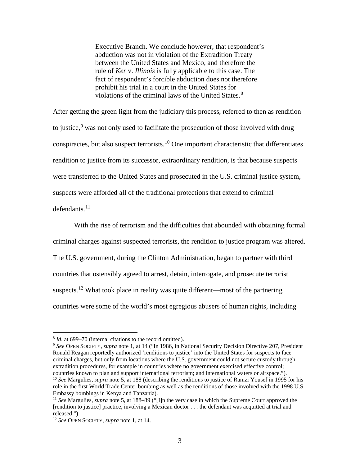Executive Branch. We conclude however, that respondent's abduction was not in violation of the Extradition Treaty between the United States and Mexico, and therefore the rule of *Ker* v. *Illinois* is fully applicable to this case. The fact of respondent's forcible abduction does not therefore prohibit his trial in a court in the United States for violations of the criminal laws of the United States.<sup>[8](#page-3-0)</sup>

After getting the green light from the judiciary this process, referred to then as rendition to justice,  $9$  was not only used to facilitate the prosecution of those involved with drug conspiracies, but also suspect terrorists.<sup>[10](#page-3-2)</sup> One important characteristic that differentiates rendition to justice from its successor, extraordinary rendition, is that because suspects were transferred to the United States and prosecuted in the U.S. criminal justice system, suspects were afforded all of the traditional protections that extend to criminal  $defendants.<sup>11</sup>$  $defendants.<sup>11</sup>$  $defendants.<sup>11</sup>$ 

With the rise of terrorism and the difficulties that abounded with obtaining formal criminal charges against suspected terrorists, the rendition to justice program was altered. The U.S. government, during the Clinton Administration, began to partner with third countries that ostensibly agreed to arrest, detain, interrogate, and prosecute terrorist suspects.<sup>[12](#page-3-4)</sup> What took place in reality was quite different—most of the partnering countries were some of the world's most egregious abusers of human rights, including

<span id="page-3-0"></span><sup>8</sup> *Id.* at 699–70 (internal citations to the record omitted).

<span id="page-3-1"></span><sup>9</sup> *See* OPEN SOCIETY, *supra* note [1,](#page-1-3) at 14 ("In 1986, in National Security Decision Directive 207, President Ronald Reagan reportedly authorized 'renditions to justice' into the United States for suspects to face criminal charges, but only from locations where the U.S. government could not secure custody through extradition procedures, for example in countries where no government exercised effective control; countries known to plan and support international terrorism; and international waters or airspace.").

<span id="page-3-2"></span><sup>10</sup> *See* Margulies, *supra* note [5,](#page-2-5) at 188 (describing the renditions to justice of Ramzi Yousef in 1995 for his role in the first World Trade Center bombing as well as the renditions of those involved with the 1998 U.S. Embassy bombings in Kenya and Tanzania).

<span id="page-3-3"></span><sup>11</sup> *See* Margulies, *supra* note [5,](#page-2-5) at 188–89 ("[I]n the very case in which the Supreme Court approved the [rendition to justice] practice, involving a Mexican doctor . . . the defendant was acquitted at trial and released.").

<span id="page-3-4"></span><sup>12</sup> *See* OPEN SOCIETY, *supra* not[e 1,](#page-1-3) at 14.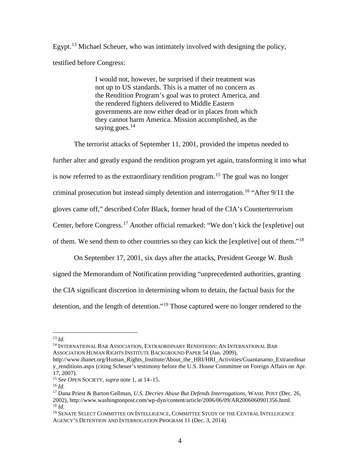Egypt.<sup>[13](#page-4-0)</sup> Michael Scheuer, who was intimately involved with designing the policy, testified before Congress:

> I would not, however, be surprised if their treatment was not up to US standards. This is a matter of no concern as the Rendition Program's goal was to protect America, and the rendered fighters delivered to Middle Eastern governments are now either dead or in places from which they cannot harm America. Mission accomplished, as the saying goes. $14$

The terrorist attacks of September 11, 2001, provided the impetus needed to further alter and greatly expand the rendition program yet again, transforming it into what is now referred to as the extraordinary rendition program. [15](#page-4-2) The goal was no longer criminal prosecution but instead simply detention and interrogation.<sup>[16](#page-4-3)</sup> "After 9/11 the gloves came off," described Cofer Black, former head of the CIA's Counterterrorism Center, before Congress.[17](#page-4-4) Another official remarked: "We don't kick the [expletive] out of them. We send them to other countries so they can kick the [expletive] out of them."[18](#page-4-5)

On September 17, 2001, six days after the attacks, President George W. Bush signed the Memorandum of Notification providing "unprecedented authorities, granting the CIA significant discretion in determining whom to detain, the factual basis for the detention, and the length of detention."[19](#page-4-6) Those captured were no longer rendered to the

<span id="page-4-1"></span><span id="page-4-0"></span><sup>14</sup> INTERNATIONAL BAR ASSOCIATION, EXTRAORDINARY RENDITIONS: AN INTERNATIONAL BAR ASSOCIATION HUMAN RIGHTS INSTITUTE BACKGROUND PAPER 54 (Jan. 2009),

<span id="page-4-7"></span>13 *Id.*

http://www.ibanet.org/Human\_Rights\_Institute/About\_the\_HRI/HRI\_Activities/Guantanamo\_Extraordinar y\_renditions.aspx (citing Scheuer's testimony before the U.S. House Committee on Foreign Affairs on Apr. 17, 2007).

<span id="page-4-2"></span><sup>15</sup> *See* OPEN SOCIETY, *supra* not[e 1,](#page-1-3) at 14–15.

<span id="page-4-3"></span><sup>16</sup> *Id.*

<span id="page-4-4"></span><sup>17</sup> Dana Priest & Barton Gellman, *U.S. Decries Abuse But Defends Interrogations*, WASH. POST (Dec. 26, 2002), http://www.washingtonpost.com/wp-dyn/content/article/2006/06/09/AR2006060901356.html. <sup>18</sup> *Id.*

<span id="page-4-6"></span><span id="page-4-5"></span><sup>&</sup>lt;sup>19</sup> SENATE SELECT COMMITTEE ON INTELLIGENCE, COMMITTEE STUDY OF THE CENTRAL INTELLIGENCE AGENCY'S DETENTION AND INTERROGATION PROGRAM 11 (Dec. 3, 2014).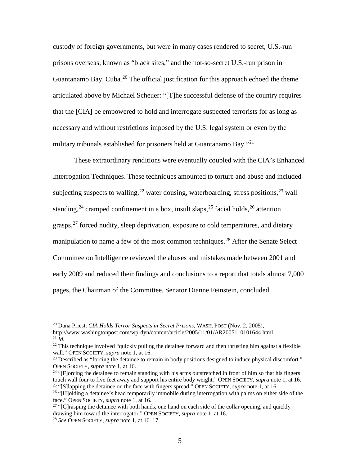custody of foreign governments, but were in many cases rendered to secret, U.S.-run prisons overseas, known as "black sites," and the not-so-secret U.S.-run prison in Guantanamo Bay, Cuba.<sup>[20](#page-5-0)</sup> The official justification for this approach echoed the theme articulated above by Michael Scheuer: "[T]he successful defense of the country requires that the [CIA] be empowered to hold and interrogate suspected terrorists for as long as necessary and without restrictions imposed by the U.S. legal system or even by the military tribunals established for prisoners held at Guantanamo Bay."<sup>[21](#page-5-1)</sup>

These extraordinary renditions were eventually coupled with the CIA's Enhanced Interrogation Techniques. These techniques amounted to torture and abuse and included subjecting suspects to walling,  $^{22}$  $^{22}$  $^{22}$  water dousing, waterboarding, stress positions,  $^{23}$  $^{23}$  $^{23}$  wall standing,<sup>[24](#page-5-4)</sup> cramped confinement in a box, insult slaps,<sup>[25](#page-5-5)</sup> facial holds,<sup>[26](#page-5-6)</sup> attention grasps,<sup>[27](#page-5-7)</sup> forced nudity, sleep deprivation, exposure to cold temperatures, and dietary manipulation to name a few of the most common techniques.<sup>[28](#page-5-8)</sup> After the Senate Select Committee on Intelligence reviewed the abuses and mistakes made between 2001 and early 2009 and reduced their findings and conclusions to a report that totals almost 7,000 pages, the Chairman of the Committee, Senator Dianne Feinstein, concluded

<span id="page-5-0"></span><sup>20</sup> Dana Priest, *CIA Holds Terror Suspects in Secret Prisons*, WASH. POST (Nov. 2, 2005),

http://www.washingtonpost.com/wp-dyn/content/article/2005/11/01/AR2005110101644.html. <sup>21</sup> *Id.*

<span id="page-5-2"></span><span id="page-5-1"></span><sup>&</sup>lt;sup>22</sup> This technique involved "quickly pulling the detainee forward and then thrusting him against a flexible wall." OPEN SOCIETY, *supra* note [1,](#page-1-3) at 16.

<span id="page-5-3"></span><sup>&</sup>lt;sup>23</sup> Described as "forcing the detainee to remain in body positions designed to induce physical discomfort." OPEN SOCIETY, *supra* note [1,](#page-1-3) at 16.

<span id="page-5-4"></span> $24$  "[F]orcing the detainee to remain standing with his arms outstretched in front of him so that his fingers touch wall four to five feet away and support his entire body weight." OPEN SOCIETY, *supra* note [1,](#page-1-3) at 16. <sup>25</sup> "[S]lapping the detainee on the face with fingers spread." OPEN SOCIETY, *supra* note [1,](#page-1-3) at 16.

<span id="page-5-6"></span><span id="page-5-5"></span><sup>&</sup>lt;sup>26</sup> "[H]olding a detainee's head temporarily immobile during interrogation with palms on either side of the face." OPEN SOCIETY, *supra* note [1,](#page-1-3) at 16.

<span id="page-5-7"></span><sup>&</sup>lt;sup>27</sup> "[G]rasping the detainee with both hands, one hand on each side of the collar opening, and quickly drawing him toward the interrogator." OPEN SOCIETY, *supra* note [1,](#page-1-3) at 16.

<span id="page-5-8"></span><sup>28</sup> *See* OPEN SOCIETY, *supra* not[e 1,](#page-1-3) at 16–17.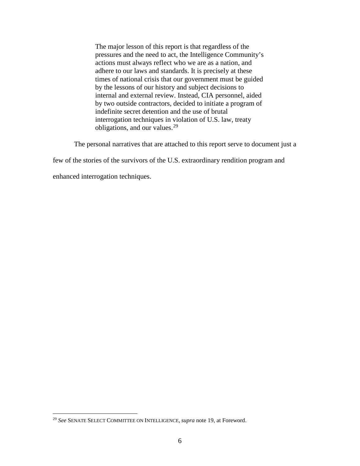The major lesson of this report is that regardless of the pressures and the need to act, the Intelligence Community's actions must always reflect who we are as a nation, and adhere to our laws and standards. It is precisely at these times of national crisis that our government must be guided by the lessons of our history and subject decisions to internal and external review. Instead, CIA personnel, aided by two outside contractors, decided to initiate a program of indefinite secret detention and the use of brutal interrogation techniques in violation of U.S. law, treaty obligations, and our values.[29](#page-6-0)

The personal narratives that are attached to this report serve to document just a

few of the stories of the survivors of the U.S. extraordinary rendition program and

enhanced interrogation techniques.

<span id="page-6-0"></span><sup>29</sup> *See* SENATE SELECT COMMITTEE ON INTELLIGENCE, *supra* note [19,](#page-4-7) at Foreword.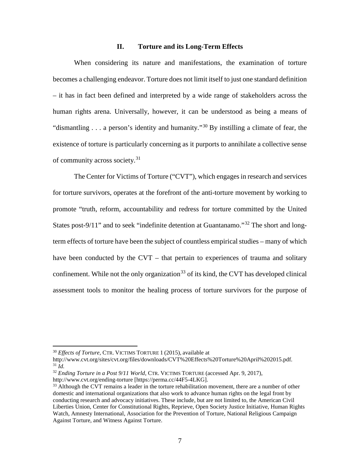#### <span id="page-7-5"></span>**II. Torture and its Long-Term Effects**

<span id="page-7-0"></span>When considering its nature and manifestations, the examination of torture becomes a challenging endeavor. Torture does not limit itself to just one standard definition – it has in fact been defined and interpreted by a wide range of stakeholders across the human rights arena. Universally, however, it can be understood as being a means of "dismantling  $\ldots$  a person's identity and humanity."<sup>[30](#page-7-1)</sup> By instilling a climate of fear, the existence of torture is particularly concerning as it purports to annihilate a collective sense of community across society.<sup>[31](#page-7-2)</sup>

The Center for Victims of Torture ("CVT"), which engages in research and services for torture survivors, operates at the forefront of the anti-torture movement by working to promote "truth, reform, accountability and redress for torture committed by the United States post-9/11" and to seek "indefinite detention at Guantanamo."<sup>[32](#page-7-3)</sup> The short and longterm effects of torture have been the subject of countless empirical studies – many of which have been conducted by the CVT – that pertain to experiences of trauma and solitary confinement. While not the only organization<sup>[33](#page-7-4)</sup> of its kind, the CVT has developed clinical assessment tools to monitor the healing process of torture survivors for the purpose of

<sup>30</sup> *Effects of Torture*, CTR. VICTIMS TORTURE 1 (2015), available at

<span id="page-7-2"></span><span id="page-7-1"></span>http://www.cvt.org/sites/cvt.org/files/downloads/CVT%20Effects%20Torture%20April%202015.pdf.  $31 \dot{Id}$ .

<span id="page-7-3"></span><sup>32</sup> *Ending Torture in a Post 9/11 World*, CTR. VICTIMS TORTURE (accessed Apr. 9, 2017), http://www.cvt.org/ending-torture [https://perma.cc/44F5-4LKG].

<span id="page-7-4"></span> $33$  Although the CVT remains a leader in the torture rehabilitation movement, there are a number of other domestic and international organizations that also work to advance human rights on the legal front by conducting research and advocacy initiatives. These include, but are not limited to, the American Civil Liberties Union, Center for Constitutional Rights, Reprieve, Open Society Justice Initiative, Human Rights Watch, Amnesty International, Association for the Prevention of Torture, National Religious Campaign Against Torture, and Witness Against Torture.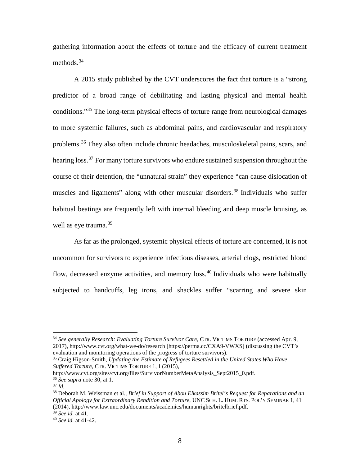gathering information about the effects of torture and the efficacy of current treatment methods.<sup>[34](#page-8-0)</sup>

A 2015 study published by the CVT underscores the fact that torture is a "strong predictor of a broad range of debilitating and lasting physical and mental health conditions."[35](#page-8-1) The long-term physical effects of torture range from neurological damages to more systemic failures, such as abdominal pains, and cardiovascular and respiratory problems.[36](#page-8-2) They also often include chronic headaches, musculoskeletal pains, scars, and hearing loss.<sup>[37](#page-8-3)</sup> For many torture survivors who endure sustained suspension throughout the course of their detention, the "unnatural strain" they experience "can cause dislocation of muscles and ligaments" along with other muscular disorders.<sup>[38](#page-8-4)</sup> Individuals who suffer habitual beatings are frequently left with internal bleeding and deep muscle bruising, as well as eye trauma.<sup>[39](#page-8-5)</sup>

As far as the prolonged, systemic physical effects of torture are concerned, it is not uncommon for survivors to experience infectious diseases, arterial clogs, restricted blood flow, decreased enzyme activities, and memory loss.[40](#page-8-6) Individuals who were habitually subjected to handcuffs, leg irons, and shackles suffer "scarring and severe skin

<span id="page-8-1"></span><sup>35</sup> Craig Higson-Smith, *Updating the Estimate of Refugees Resettled in the United States Who Have Suffered Torture*, CTR. VICTIMS TORTURE 1, 1 (2015),

<span id="page-8-0"></span><sup>34</sup> *See generally Research: Evaluating Torture Survivor Care*, CTR. VICTIMS TORTURE (accessed Apr. 9, 2017), http://www.cvt.org/what-we-do/research [https://perma.cc/CXA9-VWXS] (discussing the CVT's evaluation and monitoring operations of the progress of torture survivors).

http://www.cvt.org/sites/cvt.org/files/SurvivorNumberMetaAnalysis\_Sept2015\_0.pdf. <sup>36</sup> *See supra* note [30,](#page-7-5) at 1. 37 *Id.*

<span id="page-8-3"></span><span id="page-8-2"></span>

<span id="page-8-4"></span><sup>38</sup> Deborah M. Weissman et al., *Brief in Support of Abou Elkassim Britel's Request for Reparations and an Official Apology for Extraordinary Rendition and Torture*, UNC SCH. L. HUM. RTS. POL'Y SEMINAR 1, 41 (2014), http://www.law.unc.edu/documents/academics/humanrights/britelbrief.pdf.  $\frac{39}{2}$  See id. at 41.

<span id="page-8-5"></span>

<span id="page-8-6"></span><sup>39</sup> *See id.* at 41. 40 *See id.* at 41-42.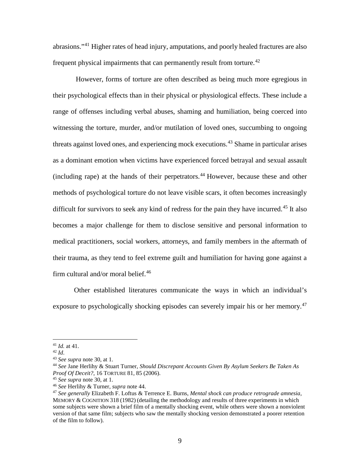abrasions."[41](#page-9-1) Higher rates of head injury, amputations, and poorly healed fractures are also frequent physical impairments that can permanently result from torture.<sup>[42](#page-9-2)</sup>

<span id="page-9-0"></span>However, forms of torture are often described as being much more egregious in their psychological effects than in their physical or physiological effects. These include a range of offenses including verbal abuses, shaming and humiliation, being coerced into witnessing the torture, murder, and/or mutilation of loved ones, succumbing to ongoing threats against loved ones, and experiencing mock executions.<sup>[43](#page-9-3)</sup> Shame in particular arises as a dominant emotion when victims have experienced forced betrayal and sexual assault (including rape) at the hands of their perpetrators.<sup>[44](#page-9-4)</sup> However, because these and other methods of psychological torture do not leave visible scars, it often becomes increasingly difficult for survivors to seek any kind of redress for the pain they have incurred.<sup>[45](#page-9-5)</sup> It also becomes a major challenge for them to disclose sensitive and personal information to medical practitioners, social workers, attorneys, and family members in the aftermath of their trauma, as they tend to feel extreme guilt and humiliation for having gone against a firm cultural and/or moral belief. $46$ 

Other established literatures communicate the ways in which an individual's exposure to psychologically shocking episodes can severely impair his or her memory.<sup>[47](#page-9-7)</sup>

<span id="page-9-2"></span><span id="page-9-1"></span><sup>41</sup> *Id.* at 41. 42 *Id*. 43 *See supra* note [30,](#page-7-5) at 1.

<span id="page-9-4"></span><span id="page-9-3"></span><sup>44</sup> *See* Jane Herlihy & Stuart Turner, *Should Discrepant Accounts Given By Asylum Seekers Be Taken As Proof Of Deceit?*, 16 TORTURE 81, 85 (2006).

<span id="page-9-7"></span><span id="page-9-6"></span><span id="page-9-5"></span><sup>&</sup>lt;sup>46</sup> *See* Herlihy & Turner, *supra* note [44.](#page-9-0)<br><sup>47</sup> *See generally Elizabeth F. Loftus & Terrence E. Burns, <i>Mental shock can produce retrograde amnesia*, MEMORY & COGNITION 318 (1982) (detailing the methodology and results of three experiments in which some subjects were shown a brief film of a mentally shocking event, while others were shown a nonviolent version of that same film; subjects who saw the mentally shocking version demonstrated a poorer retention of the film to follow).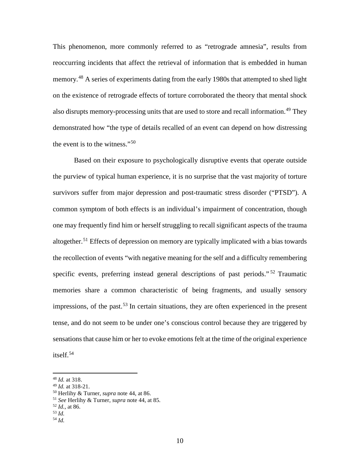This phenomenon, more commonly referred to as "retrograde amnesia", results from reoccurring incidents that affect the retrieval of information that is embedded in human memory.<sup>[48](#page-10-0)</sup> A series of experiments dating from the early 1980s that attempted to shed light on the existence of retrograde effects of torture corroborated the theory that mental shock also disrupts memory-processing units that are used to store and recall information.<sup>[49](#page-10-1)</sup> They demonstrated how "the type of details recalled of an event can depend on how distressing the event is to the witness."[50](#page-10-2)

Based on their exposure to psychologically disruptive events that operate outside the purview of typical human experience, it is no surprise that the vast majority of torture survivors suffer from major depression and post-traumatic stress disorder ("PTSD"). A common symptom of both effects is an individual's impairment of concentration, though one may frequently find him or herself struggling to recall significant aspects of the trauma altogether.<sup>[51](#page-10-3)</sup> Effects of depression on memory are typically implicated with a bias towards the recollection of events "with negative meaning for the self and a difficulty remembering specific events, preferring instead general descriptions of past periods."<sup>[52](#page-10-4)</sup> Traumatic memories share a common characteristic of being fragments, and usually sensory impressions, of the past.<sup>[53](#page-10-5)</sup> In certain situations, they are often experienced in the present tense, and do not seem to be under one's conscious control because they are triggered by sensations that cause him or her to evoke emotions felt at the time of the original experience itself.[54](#page-10-6)

<span id="page-10-0"></span><sup>&</sup>lt;sup>48</sup> *Id.* at 318.<br><sup>49</sup> *Id.* at 318-21.

<span id="page-10-2"></span><span id="page-10-1"></span><sup>49</sup> *Id.* at 318-21. 50 Herlihy & Turner, *supra* note [44,](#page-9-0) at 86. 51 *See* Herlihy & Turner, *supra* note [44,](#page-9-0) at 85. 52 *Id.*, at 86.

<span id="page-10-4"></span><span id="page-10-3"></span>

<span id="page-10-5"></span><sup>53</sup> *Id.*

<span id="page-10-6"></span><sup>54</sup> *Id.*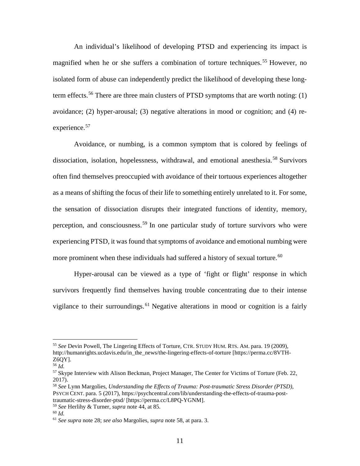An individual's likelihood of developing PTSD and experiencing its impact is magnified when he or she suffers a combination of torture techniques.<sup>[55](#page-11-1)</sup> However, no isolated form of abuse can independently predict the likelihood of developing these long-term effects.<sup>[56](#page-11-2)</sup> There are three main clusters of PTSD symptoms that are worth noting: (1) avoidance; (2) hyper-arousal; (3) negative alterations in mood or cognition; and (4) re-experience.<sup>[57](#page-11-3)</sup>

<span id="page-11-8"></span><span id="page-11-0"></span>Avoidance, or numbing, is a common symptom that is colored by feelings of dissociation, isolation, hopelessness, withdrawal, and emotional anesthesia.<sup>[58](#page-11-4)</sup> Survivors often find themselves preoccupied with avoidance of their tortuous experiences altogether as a means of shifting the focus of their life to something entirely unrelated to it. For some, the sensation of dissociation disrupts their integrated functions of identity, memory, perception, and consciousness.<sup>[59](#page-11-5)</sup> In one particular study of torture survivors who were experiencing PTSD, it was found that symptoms of avoidance and emotional numbing were more prominent when these individuals had suffered a history of sexual torture.<sup>[60](#page-11-6)</sup>

Hyper-arousal can be viewed as a type of 'fight or flight' response in which survivors frequently find themselves having trouble concentrating due to their intense vigilance to their surroundings.<sup>[61](#page-11-7)</sup> Negative alterations in mood or cognition is a fairly

<span id="page-11-1"></span><sup>55</sup> *See* Devin Powell, The Lingering Effects of Torture, CTR. STUDY HUM. RTS. AM. para. 19 (2009), http://humanrights.ucdavis.edu/in\_the\_news/the-lingering-effects-of-torture [https://perma.cc/8VTH-Z6QY].

<span id="page-11-2"></span><sup>56</sup> *Id.*

<span id="page-11-3"></span><sup>&</sup>lt;sup>57</sup> Skype Interview with Alison Beckman, Project Manager, The Center for Victims of Torture (Feb. 22, 2017).

<span id="page-11-4"></span><sup>58</sup> *See* Lynn Margolies, *Understanding the Effects of Trauma: Post-traumatic Stress Disorder (PTSD)*, PSYCH CENT. para. 5 (2017), https://psychcentral.com/lib/understanding-the-effects-of-trauma-posttraumatic-stress-disorder-ptsd/ [https://perma.cc/L8PQ-YGNM].

<span id="page-11-5"></span><sup>59</sup> *See* Herlihy & Turner, *supra* note [44,](#page-9-0) at 85.

<span id="page-11-6"></span><sup>60</sup> *Id.*

<span id="page-11-7"></span><sup>61</sup> *See supra* note 28; *see also* Margolies, *supra* not[e 58,](#page-11-0) at para. 3.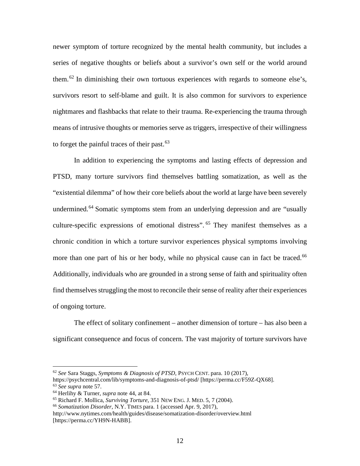newer symptom of torture recognized by the mental health community, but includes a series of negative thoughts or beliefs about a survivor's own self or the world around them.<sup>[62](#page-12-0)</sup> In diminishing their own tortuous experiences with regards to someone else's, survivors resort to self-blame and guilt. It is also common for survivors to experience nightmares and flashbacks that relate to their trauma. Re-experiencing the trauma through means of intrusive thoughts or memories serve as triggers, irrespective of their willingness to forget the painful traces of their past. $63$ 

In addition to experiencing the symptoms and lasting effects of depression and PTSD, many torture survivors find themselves battling somatization, as well as the "existential dilemma" of how their core beliefs about the world at large have been severely undermined.<sup>[64](#page-12-2)</sup> Somatic symptoms stem from an underlying depression and are "usually culture-specific expressions of emotional distress". [65](#page-12-3) They manifest themselves as a chronic condition in which a torture survivor experiences physical symptoms involving more than one part of his or her body, while no physical cause can in fact be traced.<sup>[66](#page-12-4)</sup> Additionally, individuals who are grounded in a strong sense of faith and spirituality often find themselves struggling the most to reconcile their sense of reality after their experiences of ongoing torture.

The effect of solitary confinement – another dimension of torture – has also been a significant consequence and focus of concern. The vast majority of torture survivors have

<span id="page-12-0"></span><sup>62</sup> *See* Sara Staggs, *Symptoms & Diagnosis of PTSD*, PSYCH CENT. para. 10 (2017),

<span id="page-12-1"></span>https://psychcentral.com/lib/symptoms-and-diagnosis-of-ptsd/ [https://perma.cc/F59Z-QX68]. <sup>63</sup> *See supra* note [57.](#page-11-8)

<span id="page-12-2"></span><sup>64</sup> Herlihy & Turner, *supra* note [44,](#page-9-0) at 84.

<span id="page-12-3"></span><sup>65</sup> Richard F. Mollica, *Surviving Torture*, 351 NEW ENG. J. MED. 5, 7 (2004). 66 *Somatization Disorder*, N.Y. TIMES para. 1 (accessed Apr. 9, 2017),

<span id="page-12-4"></span>http://www.nytimes.com/health/guides/disease/somatization-disorder/overview.html [https://perma.cc/YH9N-HABB].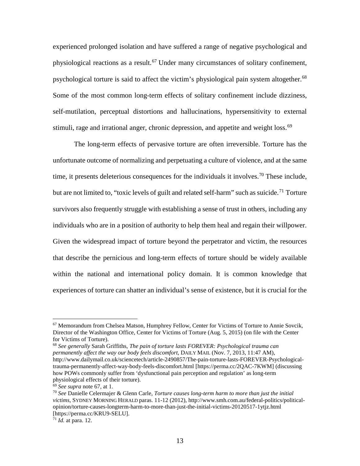<span id="page-13-0"></span>experienced prolonged isolation and have suffered a range of negative psychological and physiological reactions as a result.<sup>[67](#page-13-1)</sup> Under many circumstances of solitary confinement, psychological torture is said to affect the victim's physiological pain system altogether.<sup>[68](#page-13-2)</sup> Some of the most common long-term effects of solitary confinement include dizziness, self-mutilation, perceptual distortions and hallucinations, hypersensitivity to external stimuli, rage and irrational anger, chronic depression, and appetite and weight loss.<sup>[69](#page-13-3)</sup>

The long-term effects of pervasive torture are often irreversible. Torture has the unfortunate outcome of normalizing and perpetuating a culture of violence, and at the same time, it presents deleterious consequences for the individuals it involves.<sup>[70](#page-13-4)</sup> These include, but are not limited to, "toxic levels of guilt and related self-harm" such as suicide.<sup>[71](#page-13-5)</sup> Torture survivors also frequently struggle with establishing a sense of trust in others, including any individuals who are in a position of authority to help them heal and regain their willpower. Given the widespread impact of torture beyond the perpetrator and victim, the resources that describe the pernicious and long-term effects of torture should be widely available within the national and international policy domain. It is common knowledge that experiences of torture can shatter an individual's sense of existence, but it is crucial for the

<span id="page-13-1"></span> $67$  Memorandum from Chelsea Matson, Humphrey Fellow, Center for Victims of Torture to Annie Sovcik, Director of the Washington Office, Center for Victims of Torture (Aug. 5, 2015) (on file with the Center for Victims of Torture).

<span id="page-13-2"></span><sup>68</sup> *See generally* Sarah Griffiths, *The pain of torture lasts FOREVER: Psychological trauma can permanently affect the way our body feels discomfort*, DAILY MAIL (Nov. 7, 2013, 11:47 AM), http://www.dailymail.co.uk/sciencetech/article-2490857/The-pain-torture-lasts-FOREVER-Psychologicaltrauma-permanently-affect-way-body-feels-discomfort.html [https://perma.cc/2QAC-7KWM] (discussing how POWs commonly suffer from 'dysfunctional pain perception and regulation' as long-term physiological effects of their torture).<br>  $69$  See supra note 67, at 1.

<span id="page-13-4"></span><span id="page-13-3"></span><sup>&</sup>lt;sup>70</sup> See Danielle Celermajer & Glenn Carle, *Torture causes long-term harm to more than just the initial victims*, SYDNEY MORNING HERALD paras. 11-12 (2012), http://www.smh.com.au/federal-politics/politicalopinion/torture-causes-longterm-harm-to-more-than-just-the-initial-victims-20120517-1ytjz.html [https://perma.cc/KRU9-SELU].

<span id="page-13-5"></span><sup>71</sup> *Id.* at para. 12.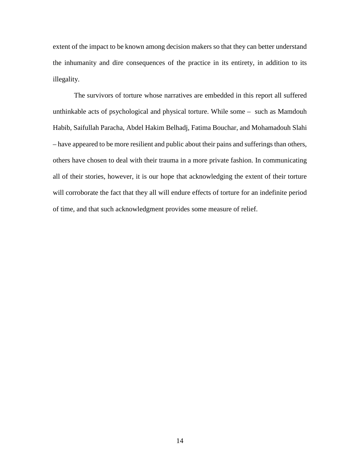extent of the impact to be known among decision makers so that they can better understand the inhumanity and dire consequences of the practice in its entirety, in addition to its illegality.

The survivors of torture whose narratives are embedded in this report all suffered unthinkable acts of psychological and physical torture. While some – such as Mamdouh Habib, Saifullah Paracha, Abdel Hakim Belhadj, Fatima Bouchar, and Mohamadouh Slahi – have appeared to be more resilient and public about their pains and sufferings than others, others have chosen to deal with their trauma in a more private fashion. In communicating all of their stories, however, it is our hope that acknowledging the extent of their torture will corroborate the fact that they all will endure effects of torture for an indefinite period of time, and that such acknowledgment provides some measure of relief.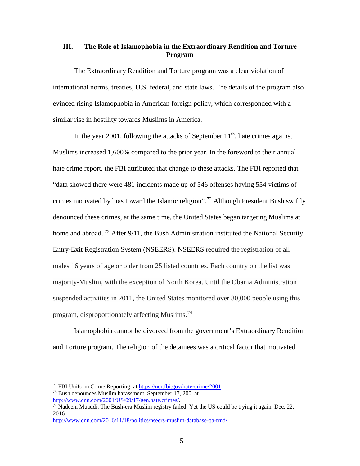# <span id="page-15-0"></span>**III. The Role of Islamophobia in the Extraordinary Rendition and Torture Program**

The Extraordinary Rendition and Torture program was a clear violation of international norms, treaties, U.S. federal, and state laws. The details of the program also evinced rising Islamophobia in American foreign policy, which corresponded with a similar rise in hostility towards Muslims in America.

In the year 2001, following the attacks of September  $11<sup>th</sup>$ , hate crimes against Muslims increased 1,600% compared to the prior year. In the foreword to their annual hate crime report, the FBI attributed that change to these attacks. The FBI reported that "data showed there were 481 incidents made up of 546 offenses having 554 victims of crimes motivated by bias toward the Islamic religion".<sup>[72](#page-15-1)</sup> Although President Bush swiftly denounced these crimes, at the same time, the United States began targeting Muslims at home and abroad.<sup>[73](#page-15-2)</sup> After  $9/11$ , the Bush Administration instituted the National Security Entry-Exit Registration System (NSEERS). NSEERS required the registration of all males 16 years of age or older from 25 listed countries. Each country on the list was majority-Muslim, with the exception of North Korea. Until the Obama Administration suspended activities in 2011, the United States monitored over 80,000 people using this program, disproportionately affecting Muslims.[74](#page-15-3)

Islamophobia cannot be divorced from the government's Extraordinary Rendition and Torture program. The religion of the detainees was a critical factor that motivated

<span id="page-15-1"></span><sup>72</sup> FBI Uniform Crime Reporting, at [https://ucr.fbi.gov/hate-crime/2001.](https://ucr.fbi.gov/hate-crime/2001)

<span id="page-15-2"></span>**<sup>73</sup>** Bush denounces Muslim harassment, September 17, 200, at

<span id="page-15-3"></span>http://www.cnn.com/2001/US/09/17/gen.hate.crimes/.<br><sup>74</sup> Nadeem Muaddi, The Bush-era Muslim registry failed. Yet the US could be trying it again, Dec. 22, 2016

[http://www.cnn.com/2016/11/18/politics/nseers-muslim-database-qa-trnd/.](http://www.cnn.com/2016/11/18/politics/nseers-muslim-database-qa-trnd/)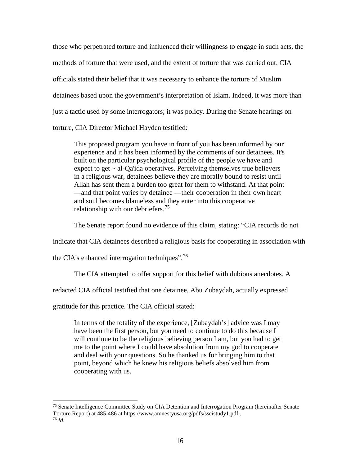those who perpetrated torture and influenced their willingness to engage in such acts, the methods of torture that were used, and the extent of torture that was carried out. CIA officials stated their belief that it was necessary to enhance the torture of Muslim detainees based upon the government's interpretation of Islam. Indeed, it was more than just a tactic used by some interrogators; it was policy. During the Senate hearings on torture, CIA Director Michael Hayden testified:

This proposed program you have in front of you has been informed by our experience and it has been informed by the comments of our detainees. It's built on the particular psychological profile of the people we have and expect to get  $\sim$  al-Qa'ida operatives. Perceiving themselves true believers in a religious war, detainees believe they are morally bound to resist until Allah has sent them a burden too great for them to withstand. At that point —and that point varies by detainee —their cooperation in their own heart and soul becomes blameless and they enter into this cooperative relationship with our debriefers.<sup>[75](#page-16-0)</sup>

The Senate report found no evidence of this claim, stating: "CIA records do not

indicate that CIA detainees described a religious basis for cooperating in association with

the CIA's enhanced interrogation techniques".<sup>[76](#page-16-1)</sup>

The CIA attempted to offer support for this belief with dubious anecdotes. A

redacted CIA official testified that one detainee, Abu Zubaydah, actually expressed

gratitude for this practice. The CIA official stated:

In terms of the totality of the experience, [Zubaydah's] advice was I may have been the first person, but you need to continue to do this because I will continue to be the religious believing person I am, but you had to get me to the point where I could have absolution from my god to cooperate and deal with your questions. So he thanked us for bringing him to that point, beyond which he knew his religious beliefs absolved him from cooperating with us.

<span id="page-16-1"></span><span id="page-16-0"></span><sup>75</sup> Senate Intelligence Committee Study on CIA Detention and Interrogation Program (hereinafter Senate Torture Report) at 485-486 at https://www.amnestyusa.org/pdfs/sscistudy1.pdf . 76 *Id.*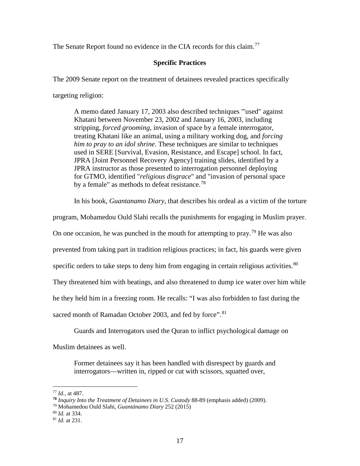The Senate Report found no evidence in the CIA records for this claim.<sup>[77](#page-17-0)</sup>

# **Specific Practices**

The 2009 Senate report on the treatment of detainees revealed practices specifically

targeting religion:

A memo dated January 17, 2003 also described techniques '"used" against Khatani between November 23, 2002 and January 16, 2003, including stripping, *forced grooming*, invasion of space by a female interrogator, treating Khatani like an animal, using a military working dog, and *forcing him to pray to an idol shrine*. These techniques are similar to techniques used in SERE [Survival, Evasion, Resistance, and Escape] school. In fact, JPRA [Joint Personnel Recovery Agency] training slides, identified by a JPRA instructor as those presented to interrogation personnel deploying for GTMO, identified "*religious disgrace*" and "invasion of personal space by a female" as methods to defeat resistance.<sup>[78](#page-17-1)</sup>

In his book, *Guantanamo Diary*, that describes his ordeal as a victim of the torture

program, Mohamedou Ould Slahi recalls the punishments for engaging in Muslim prayer.

On one occasion, he was punched in the mouth for attempting to pray.<sup>[79](#page-17-2)</sup> He was also

prevented from taking part in tradition religious practices; in fact, his guards were given

specific orders to take steps to deny him from engaging in certain religious activities.  $80$ 

They threatened him with beatings, and also threatened to dump ice water over him while

he they held him in a freezing room. He recalls: "I was also forbidden to fast during the

sacred month of Ramadan October 2003, and fed by force".<sup>[81](#page-17-4)</sup>

Guards and Interrogators used the Quran to inflict psychological damage on

Muslim detainees as well.

Former detainees say it has been handled with disrespect by guards and interrogators—written in, ripped or cut with scissors, squatted over,

<span id="page-17-0"></span><sup>77</sup> *Id.,* at 487.

**<sup>78</sup>** *Inquiry Into the Treatment of Detainees in U.S. Custody* 88-89 (emphasis added) (2009).

<span id="page-17-2"></span><span id="page-17-1"></span><sup>79</sup> Mohamedou Ould Slahi, *Guantánamo Diary* 252 (2015)

<span id="page-17-3"></span><sup>80</sup> *Id.* at 334.

<span id="page-17-4"></span><sup>81</sup> *Id.* at 231.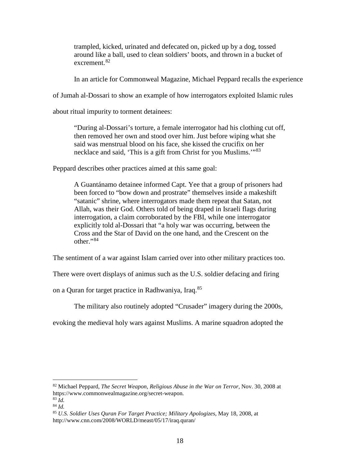trampled, kicked, urinated and defecated on, picked up by a dog, tossed around like a ball, used to clean soldiers' boots, and thrown in a bucket of excrement.<sup>[82](#page-18-0)</sup>

In an article for Commonweal Magazine, Michael Peppard recalls the experience

of Jumah al-Dossari to show an example of how interrogators exploited Islamic rules

about ritual impurity to torment detainees:

"During al-Dossari's torture, a female interrogator had his clothing cut off, then removed her own and stood over him. Just before wiping what she said was menstrual blood on his face, she kissed the crucifix on her necklace and said, 'This is a gift from Christ for you Muslims.'"<sup>[83](#page-18-1)</sup>

Peppard describes other practices aimed at this same goal:

A Guantánamo detainee informed Capt. Yee that a group of prisoners had been forced to "bow down and prostrate" themselves inside a makeshift "satanic" shrine, where interrogators made them repeat that Satan, not Allah, was their God. Others told of being draped in Israeli flags during interrogation, a claim corroborated by the FBI, while one interrogator explicitly told al-Dossari that "a holy war was occurring, between the Cross and the Star of David on the one hand, and the Crescent on the  $other$ .  $84$ 

The sentiment of a war against Islam carried over into other military practices too.

There were overt displays of animus such as the U.S. soldier defacing and firing

on a Quran for target practice in Radhwaniya, Iraq.[85](#page-18-3)

The military also routinely adopted "Crusader" imagery during the 2000s,

evoking the medieval holy wars against Muslims. A marine squadron adopted the

<span id="page-18-0"></span><sup>82</sup> Michael Peppard, *The Secret Weapon, Religious Abuse in the War on Terror,* Nov. 30, 2008 at https://www.commonwealmagazine.org/secret-weapon.  $83 \tilde{I}$ d.

<sup>84</sup> *Id.*

<span id="page-18-3"></span><span id="page-18-2"></span><span id="page-18-1"></span>

<sup>85</sup> *U.S. Soldier Uses Quran For Target Practice; Military Apologizes*, May 18, 2008, at http://www.cnn.com/2008/WORLD/meast/05/17/iraq.quran/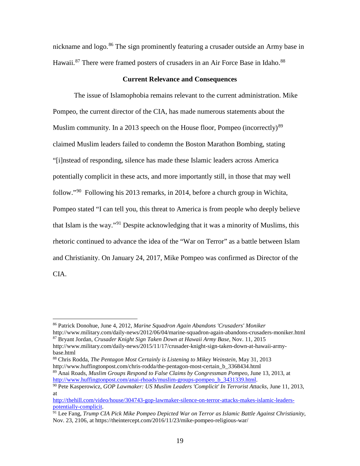nickname and logo.<sup>[86](#page-19-0)</sup> The sign prominently featuring a crusader outside an Army base in Hawaii.<sup>[87](#page-19-1)</sup> There were framed posters of crusaders in an Air Force Base in Idaho.<sup>[88](#page-19-2)</sup>

#### **Current Relevance and Consequences**

The issue of Islamophobia remains relevant to the current administration. Mike Pompeo, the current director of the CIA, has made numerous statements about the Muslim community. In a 2013 speech on the House floor, Pompeo (incorrectly)<sup>[89](#page-19-3)</sup> claimed Muslim leaders failed to condemn the Boston Marathon Bombing, stating "[i]nstead of responding, silence has made these Islamic leaders across America potentially complicit in these acts, and more importantly still, in those that may well follow."[90](#page-19-4) Following his 2013 remarks, in 2014, before a church group in Wichita, Pompeo stated "I can tell you, this threat to America is from people who deeply believe that Islam is the way."[91](#page-19-5) Despite acknowledging that it was a minority of Muslims, this rhetoric continued to advance the idea of the "War on Terror" as a battle between Islam and Christianity. On January 24, 2017, Mike Pompeo was confirmed as Director of the CIA.

<sup>86</sup> Patrick Donohue, June 4, 2012, *Marine Squadron Again Abandons 'Crusaders' Moniker*

<span id="page-19-1"></span><span id="page-19-0"></span>http://www.military.com/daily-news/2012/06/04/marine-squadron-again-abandons-crusaders-moniker.html <sup>87</sup> Bryant Jordan, *Crusader Knight Sign Taken Down at Hawaii Army Base*, Nov. 11, 2015 http://www.military.com/daily-news/2015/11/17/crusader-knight-sign-taken-down-at-hawaii-army-

base.html

<span id="page-19-2"></span><sup>88</sup> Chris Rodda, *The Pentagon Most Certainly is Listening to Mikey Weinstein*, May 31, 2013 http://www.huffingtonpost.com/chris-rodda/the-pentagon-most-certain\_b\_3368434.html

<span id="page-19-3"></span><sup>&</sup>lt;sup>89</sup> Anai Roads, *Muslim Groups Respond to False Claims by Congressman Pompeo*, June 13, 2013, at http://www.huffingtonpost.com/anai-rhoads/muslim-groups-pompeo\_b\_3431339.html.

<span id="page-19-4"></span><sup>&</sup>lt;sup>90</sup> Pete Kasperowicz, *GOP Lawmaker: US Muslim Leaders 'Complicit' In Terrorist Attacks*, June 11, 2013, at

[http://thehill.com/video/house/304743-gop-lawmaker-silence-on-terror-attacks-makes-islamic-leaders-](http://thehill.com/video/house/304743-gop-lawmaker-silence-on-terror-attacks-makes-islamic-leaders-potentially-complicit)

<span id="page-19-5"></span><sup>&</sup>lt;sup>91</sup> Lee Fang, *Trump CIA Pick Mike Pompeo Depicted War on Terror as Islamic Battle Against Christianity*, Nov. 23, 2106, at https://theintercept.com/2016/11/23/mike-pompeo-religious-war/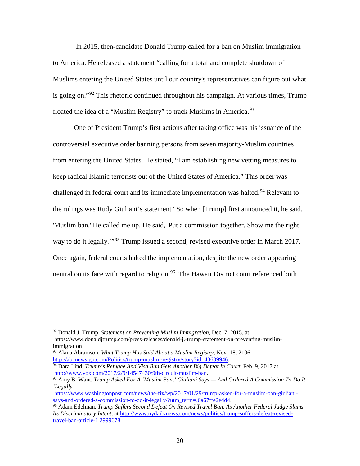In 2015, then-candidate Donald Trump called for a ban on Muslim immigration to America. He released a statement "calling for a total and complete shutdown of Muslims entering the United States until our country's representatives can figure out what is going on."<sup>[92](#page-20-0)</sup> This rhetoric continued throughout his campaign. At various times, Trump floated the idea of a "Muslim Registry" to track Muslims in America.<sup>[93](#page-20-1)</sup>

One of President Trump's first actions after taking office was his issuance of the controversial executive order banning persons from seven majority-Muslim countries from entering the United States. He stated, "I am establishing new vetting measures to keep radical Islamic terrorists out of the United States of America." This order was challenged in federal court and its immediate implementation was halted.<sup>[94](#page-20-2)</sup> Relevant to the rulings was Rudy Giuliani's statement "So when [Trump] first announced it, he said, 'Muslim ban.' He called me up. He said, 'Put a commission together. Show me the right way to do it legally.'"[95](#page-20-3) Trump issued a second, revised executive order in March 2017. Once again, federal courts halted the implementation, despite the new order appearing neutral on its face with regard to religion.<sup>96</sup> The Hawaii District court referenced both

<span id="page-20-0"></span><sup>92</sup> Donald J. Trump, *Statement on Preventing Muslim Immigration*, Dec. 7, 2015, at https://www.donaldjtrump.com/press-releases/donald-j.-trump-statement-on-preventing-muslimimmigration

<span id="page-20-1"></span><sup>93</sup> Alana Abramson, *What Trump Has Said About a Muslim Registry*, Nov. 18, 2106

<span id="page-20-2"></span>[http://abcnews.go.com/Politics/trump-muslim-registry/story?id=43639946.](http://abcnews.go.com/Politics/trump-muslim-registry/story?id=43639946)<br><sup>94</sup> Dara Lind, *Trump's Refugee And Visa Ban Gets Another Big Defeat In Court*, Feb. 9, 2017 at<br>http://www.vox.com/2017/2/9/14547430/9th-circuit-musl

<span id="page-20-3"></span><sup>&</sup>lt;sup>95</sup> Amy B. Want, *Trump Asked For A 'Muslim Ban,' Giuliani Says — And Ordered A Commission To Do It 'Legally'*

[https://www.washingtonpost.com/news/the-fix/wp/2017/01/29/trump-asked-for-a-muslim-ban-giuliani](https://www.washingtonpost.com/news/the-fix/wp/2017/01/29/trump-asked-for-a-muslim-ban-giuliani-says-and-ordered-a-commission-to-do-it-legally/?utm_term=.6a67ffe2e4d4)[says-and-ordered-a-commission-to-do-it-legally/?utm\\_term=.6a67ffe2e4d4.](https://www.washingtonpost.com/news/the-fix/wp/2017/01/29/trump-asked-for-a-muslim-ban-giuliani-says-and-ordered-a-commission-to-do-it-legally/?utm_term=.6a67ffe2e4d4)

<span id="page-20-4"></span><sup>96</sup> Adam Edelman, *Trump Suffers Second Defeat On Revised Travel Ban, As Another Federal Judge Slams Its Discriminatory Intent*, at [http://www.nydailynews.com/news/politics/trump-suffers-defeat-revised](http://www.nydailynews.com/news/politics/trump-suffers-defeat-revised-travel-ban-article-1.2999678)[travel-ban-article-1.2999678.](http://www.nydailynews.com/news/politics/trump-suffers-defeat-revised-travel-ban-article-1.2999678)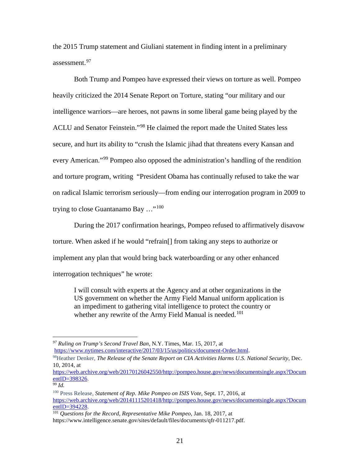the 2015 Trump statement and Giuliani statement in finding intent in a preliminary assessment.<sup>[97](#page-21-0)</sup>

Both Trump and Pompeo have expressed their views on torture as well. Pompeo heavily criticized the 2014 Senate Report on Torture, stating "our military and our intelligence warriors—are heroes, not pawns in some liberal game being played by the ACLU and Senator Feinstein."[98](#page-21-1) He claimed the report made the United States less secure, and hurt its ability to "crush the Islamic jihad that threatens every Kansan and every American."<sup>[99](#page-21-2)</sup> Pompeo also opposed the administration's handling of the rendition and torture program, writing "President Obama has continually refused to take the war on radical Islamic terrorism seriously—from ending our interrogation program in 2009 to trying to close Guantanamo Bay  $\ldots$ <sup>[100](#page-21-3)</sup>

During the 2017 confirmation hearings, Pompeo refused to affirmatively disavow torture. When asked if he would "refrain[] from taking any steps to authorize or implement any plan that would bring back waterboarding or any other enhanced interrogation techniques" he wrote:

I will consult with experts at the Agency and at other organizations in the US government on whether the Army Field Manual uniform application is an impediment to gathering vital intelligence to protect the country or whether any rewrite of the Army Field Manual is needed.<sup>[101](#page-21-4)</sup>

<span id="page-21-0"></span>*<sup>97</sup> Ruling on Trump's Second Travel Ban,* N.Y. Times, Mar. 15, 2017, at [https://www.nytimes.com/interactive/2017/03/15/us/politics/document-Order.html.](https://www.nytimes.com/interactive/2017/03/15/us/politics/document-Order.html)

<span id="page-21-1"></span><sup>98</sup>Heather Denker, *The Release of the Senate Report on CIA Activities Harms U.S. National Security*, Dec. 10, 2014, at

[https://web.archive.org/web/20170126042550/http://pompeo.house.gov/news/documentsingle.aspx?Docum](https://web.archive.org/web/20170126042550/http:/pompeo.house.gov/news/documentsingle.aspx?DocumentID=398326) entID=398326.<br><sup>99</sup> *Id.* 

<span id="page-21-3"></span><span id="page-21-2"></span><sup>100</sup> Press Release, *Statement of Rep. Mike Pompeo on ISIS Vote*, Sept. 17, 2016, at [https://web.archive.org/web/20141115201418/http://pompeo.house.gov/news/documentsingle.aspx?Docum](https://web.archive.org/web/20141115201418/http:/pompeo.house.gov/news/documentsingle.aspx?DocumentID=394228)<br>entID=394228.

<span id="page-21-4"></span><sup>&</sup>lt;sup>101</sup> Questions for the Record, Representative Mike Pompeo, Jan. 18, 2017, at https://www.intelligence.senate.gov/sites/default/files/documents/qfr-011217.pdf.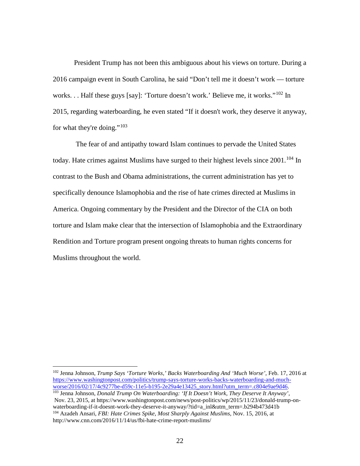President Trump has not been this ambiguous about his views on torture. During a 2016 campaign event in South Carolina, he said "Don't tell me it doesn't work — torture works... Half these guys [say]: 'Torture doesn't work.' Believe me, it works."<sup>[102](#page-22-0)</sup> In 2015, regarding waterboarding, he even stated "If it doesn't work, they deserve it anyway, for what they're doing."<sup>[103](#page-22-1)</sup>

The fear of and antipathy toward Islam continues to pervade the United States today. Hate crimes against Muslims have surged to their highest levels since  $2001$ .<sup>[104](#page-22-2)</sup> In contrast to the Bush and Obama administrations, the current administration has yet to specifically denounce Islamophobia and the rise of hate crimes directed at Muslims in America. Ongoing commentary by the President and the Director of the CIA on both torture and Islam make clear that the intersection of Islamophobia and the Extraordinary Rendition and Torture program present ongoing threats to human rights concerns for Muslims throughout the world.

<span id="page-22-0"></span><sup>102</sup> Jenna Johnson, *Trump Says 'Torture Works,' Backs Waterboarding And 'Much Worse'*, Feb. 17, 2016 at https://www.washingtonpost.com/politics/trump-says-torture-works-backs-waterboarding-and-much-<br>worse/2016/02/17/4c9277be-d59c-11e5-b195-2e29a4e13425\_story.html?utm\_term=.c804e9ae9d46.

<span id="page-22-2"></span><span id="page-22-1"></span><sup>&</sup>lt;sup>103</sup> Jenna Johnson, *Donald Trump On Waterboarding: 'If It Doesn't Work, They Deserve It Anyway'*, Nov. 23, 2015, at https://www.washingtonpost.com/news/post-politics/wp/2015/11/23/donald-trump-onwaterboarding-if-it-doesnt-work-they-deserve-it-anyway/?tid=a\_inl&utm\_term=.b294b473d41b <sup>104</sup> Azadeh Ansari, *FBI: Hate Crimes Spike, Most Sharply Against Muslims,* Nov. 15, 2016, at http://www.cnn.com/2016/11/14/us/fbi-hate-crime-report-muslims/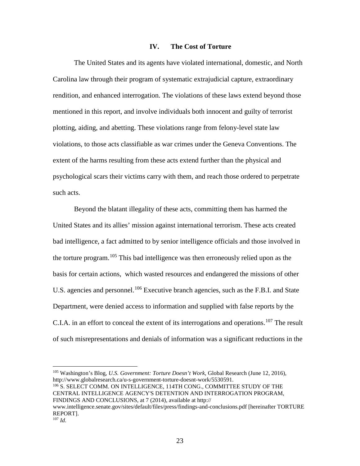#### **IV. The Cost of Torture**

<span id="page-23-0"></span>The United States and its agents have violated international, domestic, and North Carolina law through their program of systematic extrajudicial capture, extraordinary rendition, and enhanced interrogation. The violations of these laws extend beyond those mentioned in this report, and involve individuals both innocent and guilty of terrorist plotting, aiding, and abetting. These violations range from felony-level state law violations, to those acts classifiable as war crimes under the Geneva Conventions. The extent of the harms resulting from these acts extend further than the physical and psychological scars their victims carry with them, and reach those ordered to perpetrate such acts.

<span id="page-23-4"></span>Beyond the blatant illegality of these acts, committing them has harmed the United States and its allies' mission against international terrorism. These acts created bad intelligence, a fact admitted to by senior intelligence officials and those involved in the torture program.<sup>[105](#page-23-1)</sup> This bad intelligence was then erroneously relied upon as the basis for certain actions, which wasted resources and endangered the missions of other U.S. agencies and personnel.<sup>[106](#page-23-2)</sup> Executive branch agencies, such as the F.B.I. and State Department, were denied access to information and supplied with false reports by the C.I.A. in an effort to conceal the extent of its interrogations and operations.[107](#page-23-3) The result of such misrepresentations and denials of information was a significant reductions in the

<span id="page-23-2"></span><sup>106</sup> S. SELECT COMM. ON INTELLIGENCE, 114TH CONG., COMMITTEE STUDY OF THE CENTRAL INTELLIGENCE AGENCY'S DETENTION AND INTERROGATION PROGRAM, FINDINGS AND CONCLUSIONS, at 7 (2014), available at http://

<span id="page-23-1"></span><sup>105</sup> Washington's Blog, *U.S. Government: Torture Doesn't Work*, Global Research (June 12, 2016), http://www.globalresearch.ca/u-s-government-torture-doesnt-work/5530591.

www.intelligence.senate.gov/sites/default/files/press/findings-and-conclusions.pdf [hereinafter TORTURE REPORT].

<span id="page-23-3"></span><sup>107</sup> *Id.*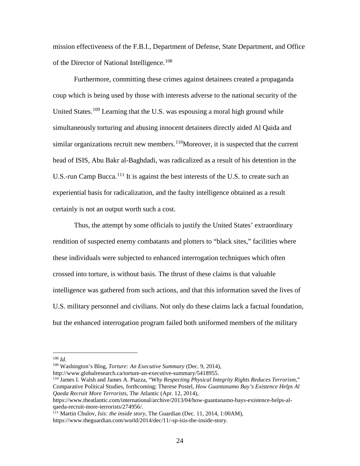mission effectiveness of the F.B.I., Department of Defense, State Department, and Office of the Director of National Intelligence.<sup>[108](#page-24-0)</sup>

Furthermore, committing these crimes against detainees created a propaganda coup which is being used by those with interests adverse to the national security of the United States.<sup>[109](#page-24-1)</sup> Learning that the U.S. was espousing a moral high ground while simultaneously torturing and abusing innocent detainees directly aided Al Qaida and similar organizations recruit new members.<sup>[110](#page-24-2)</sup>Moreover, it is suspected that the current head of ISIS, Abu Bakr al-Baghdadi, was radicalized as a result of his detention in the U.S.-run Camp Bucca.<sup>[111](#page-24-3)</sup> It is against the best interests of the U.S. to create such an experiential basis for radicalization, and the faulty intelligence obtained as a result certainly is not an output worth such a cost.

Thus, the attempt by some officials to justify the United States' extraordinary rendition of suspected enemy combatants and plotters to "black sites," facilities where these individuals were subjected to enhanced interrogation techniques which often crossed into torture, is without basis. The thrust of these claims is that valuable intelligence was gathered from such actions, and that this information saved the lives of U.S. military personnel and civilians. Not only do these claims lack a factual foundation, but the enhanced interrogation program failed both uniformed members of the military

<sup>108</sup> *Id.*

<span id="page-24-1"></span><span id="page-24-0"></span><sup>109</sup> Washington's Blog, *Torture: An Executive Summary* (Dec. 9, 2014),

http://www.globalresearch.ca/torture-an-executive-summary/5418955.

<span id="page-24-2"></span><sup>110</sup> James I. Walsh and James A. Piazza, "W*hy Respecting Physical Integrity Rights Reduces Terrorism*," Comparative Political Studies, forthcoming; Therese Postel, *How Guantanamo Bay's Existence Helps Al Qaeda Recruit More Terrorists*, The Atlantic (Apr. 12, 2014),

https://www.theatlantic.com/international/archive/2013/04/how-guantanamo-bays-existence-helps-alqaeda-recruit-more-terrorists/274956/.

<span id="page-24-3"></span><sup>111</sup> Martin Chulov, *Isis: the inside story*, The Guardian (Dec. 11, 2014, 1:00AM),

https://www.theguardian.com/world/2014/dec/11/-sp-isis-the-inside-story.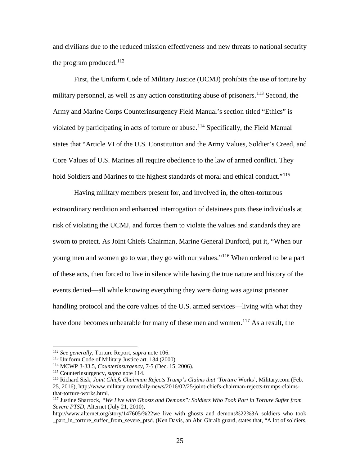and civilians due to the reduced mission effectiveness and new threats to national security the program produced.<sup>[112](#page-25-1)</sup>

<span id="page-25-0"></span>First, the Uniform Code of Military Justice (UCMJ) prohibits the use of torture by military personnel, as well as any action constituting abuse of prisoners.<sup>[113](#page-25-2)</sup> Second, the Army and Marine Corps Counterinsurgency Field Manual's section titled "Ethics" is violated by participating in acts of torture or abuse.<sup>[114](#page-25-3)</sup> Specifically, the Field Manual states that "Article VI of the U.S. Constitution and the Army Values, Soldier's Creed, and Core Values of U.S. Marines all require obedience to the law of armed conflict. They hold Soldiers and Marines to the highest standards of moral and ethical conduct."<sup>[115](#page-25-4)</sup>

Having military members present for, and involved in, the often-torturous extraordinary rendition and enhanced interrogation of detainees puts these individuals at risk of violating the UCMJ, and forces them to violate the values and standards they are sworn to protect. As Joint Chiefs Chairman, Marine General Dunford, put it, "When our young men and women go to war, they go with our values."<sup>[116](#page-25-5)</sup> When ordered to be a part of these acts, then forced to live in silence while having the true nature and history of the events denied—all while knowing everything they were doing was against prisoner handling protocol and the core values of the U.S. armed services—living with what they have done becomes unbearable for many of these men and women.<sup>[117](#page-25-6)</sup> As a result, the

<span id="page-25-1"></span><sup>112</sup> *See generally*, Torture Report, *supra* note [106.](#page-23-4)

<sup>113</sup> Uniform Code of Military Justice art. 134 (2000).

<span id="page-25-3"></span><span id="page-25-2"></span><sup>114</sup> MCWP 3-33.5, *Counterinsurgency*, 7-5 (Dec. 15, 2006).

<span id="page-25-5"></span><span id="page-25-4"></span><sup>115</sup> Counterinsurgency, *supra* note [114.](#page-25-0)

<sup>116</sup> Richard Sisk, *Joint Chiefs Chairman Rejects Trump's Claims that 'Torture* Works', Military.com (Feb. 25, 2016), http://www.military.com/daily-news/2016/02/25/joint-chiefs-chairman-rejects-trumps-claimsthat-torture-works.html.

<span id="page-25-6"></span><sup>117</sup> Justine Sharrock, *"We Live with Ghosts and Demons": Soldiers Who Took Part in Torture Suffer from Severe PTSD*, Alternet (July 21, 2010),

http://www.alternet.org/story/147605/%22we\_live\_with\_ghosts\_and\_demons%22%3A\_soldiers\_who\_took \_part\_in\_torture\_suffer\_from\_severe\_ptsd. (Ken Davis, an Abu Ghraib guard, states that, "A lot of soldiers,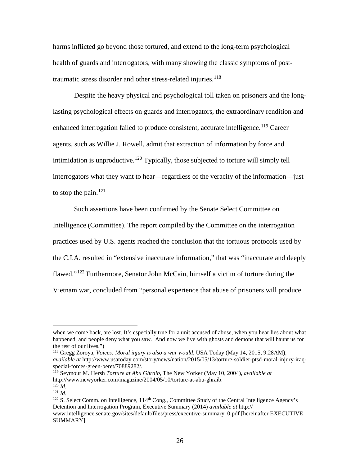harms inflicted go beyond those tortured, and extend to the long-term psychological health of guards and interrogators, with many showing the classic symptoms of post-traumatic stress disorder and other stress-related injuries.<sup>[118](#page-26-0)</sup>

Despite the heavy physical and psychological toll taken on prisoners and the longlasting psychological effects on guards and interrogators, the extraordinary rendition and enhanced interrogation failed to produce consistent, accurate intelligence.<sup>[119](#page-26-1)</sup> Career agents, such as Willie J. Rowell, admit that extraction of information by force and intimidation is unproductive.<sup>[120](#page-26-2)</sup> Typically, those subjected to torture will simply tell interrogators what they want to hear—regardless of the veracity of the information—just to stop the pain.<sup>[121](#page-26-3)</sup>

Such assertions have been confirmed by the Senate Select Committee on Intelligence (Committee). The report compiled by the Committee on the interrogation practices used by U.S. agents reached the conclusion that the tortuous protocols used by the C.I.A. resulted in "extensive inaccurate information," that was "inaccurate and deeply flawed."<sup>[122](#page-26-4)</sup> Furthermore, Senator John McCain, himself a victim of torture during the Vietnam war, concluded from "personal experience that abuse of prisoners will produce

<span id="page-26-0"></span><sup>118</sup> Gregg Zoroya, *Voices: Moral injury is also a war would*, USA Today (May 14, 2015, 9:28AM), *available at* http://www.usatoday.com/story/news/nation/2015/05/13/torture-soldier-ptsd-moral-injury-iraqspecial-forces-green-beret/70889282/.

i<br>I when we come back, are lost. It's especially true for a unit accused of abuse, when you hear lies about what happened, and people deny what you saw. And now we live with ghosts and demons that will haunt us for the rest of our lives.")

<span id="page-26-1"></span><sup>119</sup> Seymour M. Hersh *Torture at Abu Ghraib*, The New Yorker (May 10, 2004), *available at* http://www.newyorker.com/magazine/2004/05/10/torture-at-abu-ghraib.  $^{120}$  *Id.* 

<span id="page-26-3"></span><span id="page-26-2"></span><sup>121</sup> *Id.*

<span id="page-26-4"></span><sup>&</sup>lt;sup>122</sup> S. Select Comm. on Intelligence, 114<sup>th</sup> Cong., Committee Study of the Central Intelligence Agency's Detention and Interrogation Program, Executive Summary (2014) *available at* http:// www.intelligence.senate.gov/sites/default/files/press/executive-summary\_0.pdf [hereinafter EXECUTIVE SUMMARY].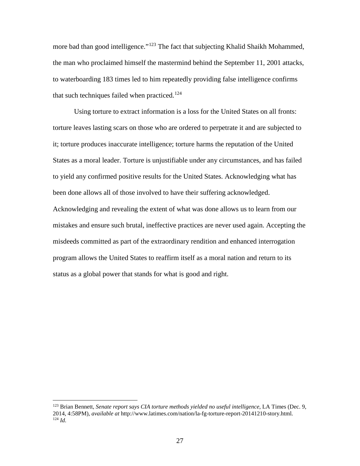more bad than good intelligence."<sup>[123](#page-27-0)</sup> The fact that subjecting Khalid Shaikh Mohammed, the man who proclaimed himself the mastermind behind the September 11, 2001 attacks, to waterboarding 183 times led to him repeatedly providing false intelligence confirms that such techniques failed when practiced.<sup>[124](#page-27-1)</sup>

Using torture to extract information is a loss for the United States on all fronts: torture leaves lasting scars on those who are ordered to perpetrate it and are subjected to it; torture produces inaccurate intelligence; torture harms the reputation of the United States as a moral leader. Torture is unjustifiable under any circumstances, and has failed to yield any confirmed positive results for the United States. Acknowledging what has been done allows all of those involved to have their suffering acknowledged. Acknowledging and revealing the extent of what was done allows us to learn from our mistakes and ensure such brutal, ineffective practices are never used again. Accepting the misdeeds committed as part of the extraordinary rendition and enhanced interrogation program allows the United States to reaffirm itself as a moral nation and return to its status as a global power that stands for what is good and right.

<span id="page-27-1"></span><span id="page-27-0"></span><sup>123</sup> Brian Bennett, *Senate report says CIA torture methods yielded no useful intelligence*, LA Times (Dec. 9, 2014, 4:58PM), *available at* http://www.latimes.com/nation/la-fg-torture-report-20141210-story.html. <sup>124</sup> *Id.*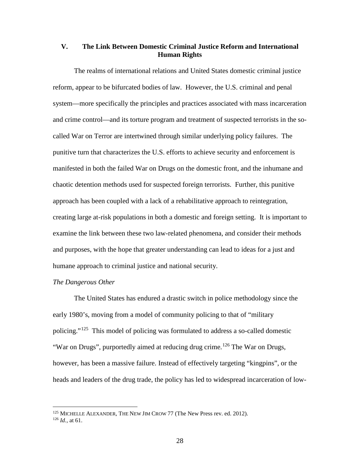# <span id="page-28-0"></span>**V. The Link Between Domestic Criminal Justice Reform and International Human Rights**

The realms of international relations and United States domestic criminal justice reform, appear to be bifurcated bodies of law. However, the U.S. criminal and penal system—more specifically the principles and practices associated with mass incarceration and crime control—and its torture program and treatment of suspected terrorists in the socalled War on Terror are intertwined through similar underlying policy failures. The punitive turn that characterizes the U.S. efforts to achieve security and enforcement is manifested in both the failed War on Drugs on the domestic front, and the inhumane and chaotic detention methods used for suspected foreign terrorists. Further, this punitive approach has been coupled with a lack of a rehabilitative approach to reintegration, creating large at-risk populations in both a domestic and foreign setting. It is important to examine the link between these two law-related phenomena, and consider their methods and purposes, with the hope that greater understanding can lead to ideas for a just and humane approach to criminal justice and national security.

#### *The Dangerous Other*

<span id="page-28-3"></span>The United States has endured a drastic switch in police methodology since the early 1980's, moving from a model of community policing to that of "military policing."[125](#page-28-1) This model of policing was formulated to address a so-called domestic "War on Drugs", purportedly aimed at reducing drug crime.<sup>[126](#page-28-2)</sup> The War on Drugs, however, has been a massive failure. Instead of effectively targeting "kingpins", or the heads and leaders of the drug trade, the policy has led to widespread incarceration of low-

<span id="page-28-1"></span><sup>&</sup>lt;sup>125</sup> MICHELLE ALEXANDER, THE NEW JIM CROW 77 (The New Press rev. ed. 2012).

<span id="page-28-2"></span><sup>126</sup> *Id.,* at 61.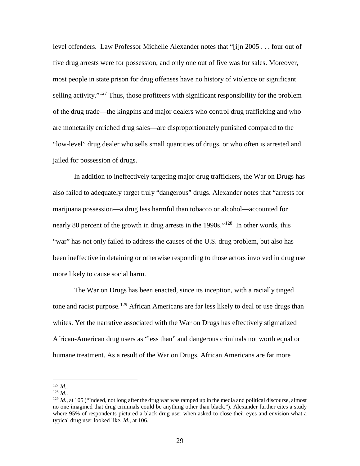level offenders. Law Professor Michelle Alexander notes that "[i]n 2005 . . . four out of five drug arrests were for possession, and only one out of five was for sales. Moreover, most people in state prison for drug offenses have no history of violence or significant selling activity."<sup>[127](#page-29-0)</sup> Thus, those profiteers with significant responsibility for the problem of the drug trade—the kingpins and major dealers who control drug trafficking and who are monetarily enriched drug sales—are disproportionately punished compared to the "low-level" drug dealer who sells small quantities of drugs, or who often is arrested and jailed for possession of drugs.

In addition to ineffectively targeting major drug traffickers, the War on Drugs has also failed to adequately target truly "dangerous" drugs. Alexander notes that "arrests for marijuana possession—a drug less harmful than tobacco or alcohol—accounted for nearly 80 percent of the growth in drug arrests in the 1990s."<sup>[128](#page-29-1)</sup> In other words, this "war" has not only failed to address the causes of the U.S. drug problem, but also has been ineffective in detaining or otherwise responding to those actors involved in drug use more likely to cause social harm.

The War on Drugs has been enacted, since its inception, with a racially tinged tone and racist purpose.<sup>[129](#page-29-2)</sup> African Americans are far less likely to deal or use drugs than whites. Yet the narrative associated with the War on Drugs has effectively stigmatized African-American drug users as "less than" and dangerous criminals not worth equal or humane treatment. As a result of the War on Drugs, African Americans are far more

<span id="page-29-2"></span><span id="page-29-1"></span>

<span id="page-29-0"></span><sup>&</sup>lt;sup>127</sup> *Id.*.<br><sup>128</sup> *Id.*, at 105 ("Indeed, not long after the drug war was ramped up in the media and political discourse, almost no one imagined that drug criminals could be anything other than black."). Alexander further cites a study where 95% of respondents pictured a black drug user when asked to close their eyes and envision what a typical drug user looked like. *Id.,* at 106.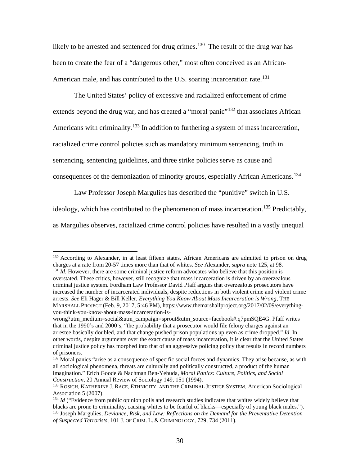likely to be arrested and sentenced for drug crimes.<sup>[130](#page-30-0)</sup> The result of the drug war has been to create the fear of a "dangerous other," most often conceived as an African-American male, and has contributed to the U.S. soaring incarceration rate.<sup>[131](#page-30-1)</sup>

The United States' policy of excessive and racialized enforcement of crime extends beyond the drug war, and has created a "moral panic"<sup>[132](#page-30-2)</sup> that associates African Americans with criminality.<sup>[133](#page-30-3)</sup> In addition to furthering a system of mass incarceration, racialized crime control policies such as mandatory minimum sentencing, truth in sentencing, sentencing guidelines, and three strike policies serve as cause and consequences of the demonization of minority groups, especially African Americans.<sup>[134](#page-30-4)</sup>

<span id="page-30-6"></span>Law Professor Joseph Margulies has described the "punitive" switch in U.S.

ideology, which has contributed to the phenomenon of mass incarceration.<sup>[135](#page-30-5)</sup> Predictably,

as Margulies observes, racialized crime control policies have resulted in a vastly unequal

<span id="page-30-0"></span><sup>&</sup>lt;sup>130</sup> According to Alexander, in at least fifteen states, African Americans are admitted to prison on drug charges at a rate from 20-57 times more than that of whites. *See* Alexander, *supra* note 125, at 98.

<span id="page-30-1"></span> $^{131}$  *Id.* However, there are some criminal justice reform advocates who believe that this position is overstated. These critics, however, still recognize that mass incarceration is driven by an overzealous criminal justice system. Fordham Law Professor David Pfaff argues that overzealous prosecutors have increased the number of incarcerated individuals, despite reductions in both violent crime and violent crime arrests. *See* Eli Hager & Bill Keller, *Everything You Know About Mass Incarceration is Wrong*, THE MARSHALL PROJECT (Feb. 9, 2017, 5:46 PM), https://www.themarshallproject.org/2017/02/09/everythingyou-think-you-know-about-mass-incarceration-is-

wrong?utm\_medium=social&utm\_campaign=sprout&utm\_source=facebook#.q7pmSQE4G. Pfaff writes that in the 1990's and 2000's, "the probability that a prosecutor would file felony charges against an arrestee basically doubled, and that change pushed prison populations up even as crime dropped." *Id*. In other words, despite arguments over the exact cause of mass incarceration, it is clear that the United States criminal justice policy has morphed into that of an aggressive policing policy that results in record numbers of prisoners.

<span id="page-30-2"></span><sup>&</sup>lt;sup>132</sup> Moral panics "arise as a consequence of specific social forces and dynamics. They arise because, as with all sociological phenomena, threats are culturally and politically constructed, a product of the human imagination." Erich Goode & Nachman Ben-Yehuda*, Moral Panics: Culture, Politics, and Social Construction*, 20 Annual Review of Sociology 149, 151 (1994).<br><sup>133</sup> ROSICH, KATHERINE J, RACE, ETHNICITY, AND THE CRIMINAL JUSTICE SYSTEM, American Sociological

<span id="page-30-3"></span>Association 5 (2007).

<span id="page-30-5"></span><span id="page-30-4"></span><sup>&</sup>lt;sup>134</sup> *Id* ("Evidence from public opinion polls and research studies indicates that whites widely believe that blacks are prone to criminality, causing whites to be fearful of blacks—especially of young black males."). <sup>135</sup> Joseph Margulies, *Deviance, Risk, and Law: Reflections on the Demand for the Preventative Detention of Suspected Terrorists*, 101 J. OF CRIM. L. & CRIMINOLOGY, 729, 734 (2011).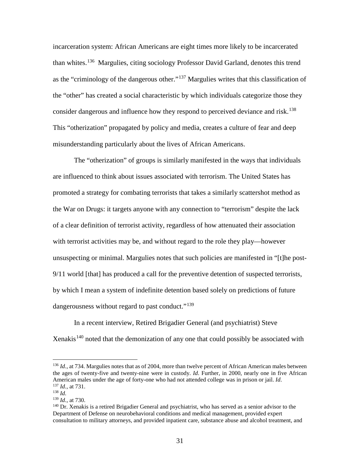incarceration system: African Americans are eight times more likely to be incarcerated than whites.[136](#page-31-0) Margulies, citing sociology Professor David Garland, denotes this trend as the "criminology of the dangerous other."[137](#page-31-1) Margulies writes that this classification of the "other" has created a social characteristic by which individuals categorize those they consider dangerous and influence how they respond to perceived deviance and risk.<sup>[138](#page-31-2)</sup> This "otherization" propagated by policy and media, creates a culture of fear and deep misunderstanding particularly about the lives of African Americans.

The "otherization" of groups is similarly manifested in the ways that individuals are influenced to think about issues associated with terrorism. The United States has promoted a strategy for combating terrorists that takes a similarly scattershot method as the War on Drugs: it targets anyone with any connection to "terrorism" despite the lack of a clear definition of terrorist activity, regardless of how attenuated their association with terrorist activities may be, and without regard to the role they play—however unsuspecting or minimal. Margulies notes that such policies are manifested in "[t]he post-9/11 world [that] has produced a call for the preventive detention of suspected terrorists, by which I mean a system of indefinite detention based solely on predictions of future dangerousness without regard to past conduct."<sup>[139](#page-31-3)</sup>

In a recent interview, Retired Brigadier General (and psychiatrist) Steve Xenakis<sup>[140](#page-31-4)</sup> noted that the demonization of any one that could possibly be associated with

<span id="page-31-0"></span><sup>&</sup>lt;sup>136</sup> *Id.*, at 734. Margulies notes that as of 2004, more than twelve percent of African American males between the ages of twenty-five and twenty-nine were in custody. *Id*. Further, in 2000, nearly one in five African American males under the age of forty-one who had not attended college was in prison or jail. *Id*. 137 *Id.*, at 731.

<span id="page-31-1"></span><sup>138</sup> *Id.*

<span id="page-31-3"></span><span id="page-31-2"></span><sup>139</sup> *Id.*, at 730.

<span id="page-31-4"></span><sup>140</sup> Dr. Xenakis is a retired Brigadier General and psychiatrist, who has served as a senior advisor to the Department of Defense on neurobehavioral conditions and medical management, provided expert consultation to military attorneys, and provided inpatient care, substance abuse and alcohol treatment, and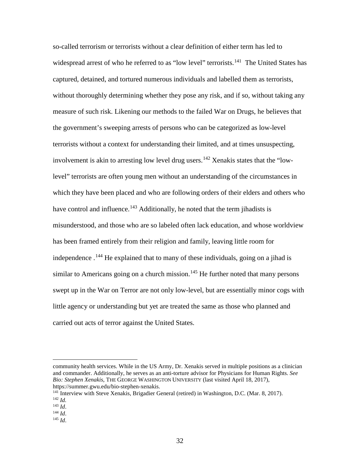so-called terrorism or terrorists without a clear definition of either term has led to widespread arrest of who he referred to as "low level" terrorists.<sup>141</sup> The United States has captured, detained, and tortured numerous individuals and labelled them as terrorists, without thoroughly determining whether they pose any risk, and if so, without taking any measure of such risk. Likening our methods to the failed War on Drugs, he believes that the government's sweeping arrests of persons who can be categorized as low-level terrorists without a context for understanding their limited, and at times unsuspecting, involvement is akin to arresting low level drug users.<sup>[142](#page-32-1)</sup> Xenakis states that the "lowlevel" terrorists are often young men without an understanding of the circumstances in which they have been placed and who are following orders of their elders and others who have control and influence.<sup>[143](#page-32-2)</sup> Additionally, he noted that the term jihadists is misunderstood, and those who are so labeled often lack education, and whose worldview has been framed entirely from their religion and family, leaving little room for independence .<sup>[144](#page-32-3)</sup> He explained that to many of these individuals, going on a jihad is similar to Americans going on a church mission.<sup>[145](#page-32-4)</sup> He further noted that many persons swept up in the War on Terror are not only low-level, but are essentially minor cogs with little agency or understanding but yet are treated the same as those who planned and carried out acts of terror against the United States.

community health services. While in the US Army, Dr. Xenakis served in multiple positions as a clinician and commander. Additionally, he serves as an anti-torture advisor for Physicians for Human Rights. *See Bio: Stephen Xenakis*, THE GEORGE WASHINGTON UNIVERSITY (last visited April 18, 2017), https://summer.gwu.edu/bio-stephen-xenakis.

<span id="page-32-1"></span><span id="page-32-0"></span><sup>&</sup>lt;sup>141</sup> Interview with Steve Xenakis, Brigadier General (retired) in Washington, D.C. (Mar. 8, 2017).<br><sup>142</sup> *Id.*<br><sup>143</sup> *Id.* 

<span id="page-32-3"></span><span id="page-32-2"></span>

<span id="page-32-4"></span><sup>143</sup> *Id*. 144 *Id*. 145 *Id*.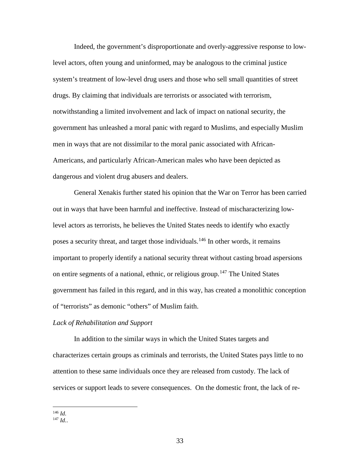Indeed, the government's disproportionate and overly-aggressive response to lowlevel actors, often young and uninformed, may be analogous to the criminal justice system's treatment of low-level drug users and those who sell small quantities of street drugs. By claiming that individuals are terrorists or associated with terrorism, notwithstanding a limited involvement and lack of impact on national security, the government has unleashed a moral panic with regard to Muslims, and especially Muslim men in ways that are not dissimilar to the moral panic associated with African-Americans, and particularly African-American males who have been depicted as dangerous and violent drug abusers and dealers.

General Xenakis further stated his opinion that the War on Terror has been carried out in ways that have been harmful and ineffective. Instead of mischaracterizing lowlevel actors as terrorists, he believes the United States needs to identify who exactly poses a security threat, and target those individuals.[146](#page-33-0) In other words, it remains important to properly identify a national security threat without casting broad aspersions on entire segments of a national, ethnic, or religious group.<sup>[147](#page-33-1)</sup> The United States government has failed in this regard, and in this way, has created a monolithic conception of "terrorists" as demonic "others" of Muslim faith.

#### *Lack of Rehabilitation and Support*

In addition to the similar ways in which the United States targets and characterizes certain groups as criminals and terrorists, the United States pays little to no attention to these same individuals once they are released from custody. The lack of services or support leads to severe consequences. On the domestic front, the lack of re-

<span id="page-33-0"></span><sup>146</sup> *Id.*

<span id="page-33-1"></span><sup>147</sup> *Id.*.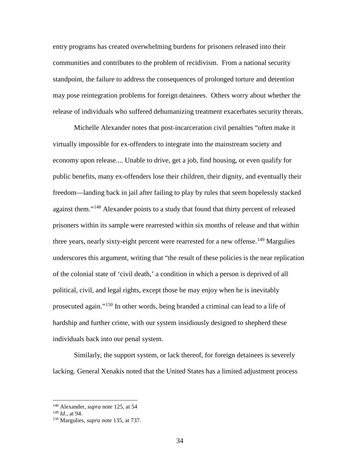entry programs has created overwhelming burdens for prisoners released into their communities and contributes to the problem of recidivism. From a national security standpoint, the failure to address the consequences of prolonged torture and detention may pose reintegration problems for foreign detainees. Others worry about whether the release of individuals who suffered dehumanizing treatment exacerbates security threats.

Michelle Alexander notes that post-incarceration civil penalties "often make it virtually impossible for ex-offenders to integrate into the mainstream society and economy upon release.... Unable to drive, get a job, find housing, or even qualify for public benefits, many ex-offenders lose their children, their dignity, and eventually their freedom—landing back in jail after failing to play by rules that seem hopelessly stacked against them."<sup>[148](#page-34-0)</sup> Alexander points to a study that found that thirty percent of released prisoners within its sample were rearrested within six months of release and that within three years, nearly sixty-eight percent were rearrested for a new offense.<sup>[149](#page-34-1)</sup> Margulies underscores this argument, writing that "the result of these policies is the near replication of the colonial state of 'civil death,' a condition in which a person is deprived of all political, civil, and legal rights, except those he may enjoy when he is inevitably prosecuted again."[150](#page-34-2) In other words, being branded a criminal can lead to a life of hardship and further crime, with our system insidiously designed to shepherd these individuals back into our penal system.

Similarly, the support system, or lack thereof, for foreign detainees is severely lacking. General Xenakis noted that the United States has a limited adjustment process

<span id="page-34-1"></span><span id="page-34-0"></span><sup>&</sup>lt;sup>148</sup> Alexander, *supra* note [125,](#page-28-3) at 54<br><sup>149</sup> *Id.*, at 94.

<span id="page-34-2"></span><sup>&</sup>lt;sup>150</sup> Margulies, *supra* note [135,](#page-30-6) at 737.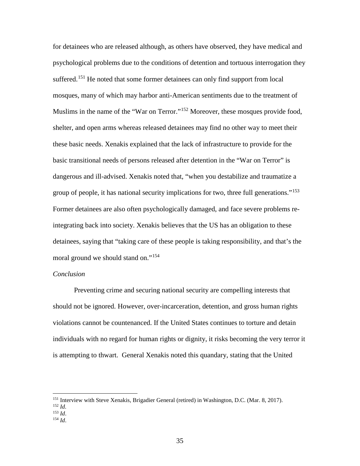for detainees who are released although, as others have observed, they have medical and psychological problems due to the conditions of detention and tortuous interrogation they suffered.<sup>[151](#page-35-0)</sup> He noted that some former detainees can only find support from local mosques, many of which may harbor anti-American sentiments due to the treatment of Muslims in the name of the "War on Terror."<sup>[152](#page-35-1)</sup> Moreover, these mosques provide food, shelter, and open arms whereas released detainees may find no other way to meet their these basic needs. Xenakis explained that the lack of infrastructure to provide for the basic transitional needs of persons released after detention in the "War on Terror" is dangerous and ill-advised. Xenakis noted that, "when you destabilize and traumatize a group of people, it has national security implications for two, three full generations."<sup>[153](#page-35-2)</sup> Former detainees are also often psychologically damaged, and face severe problems reintegrating back into society. Xenakis believes that the US has an obligation to these detainees, saying that "taking care of these people is taking responsibility, and that's the moral ground we should stand on."<sup>[154](#page-35-3)</sup>

#### *Conclusion*

Preventing crime and securing national security are compelling interests that should not be ignored. However, over-incarceration, detention, and gross human rights violations cannot be countenanced. If the United States continues to torture and detain individuals with no regard for human rights or dignity, it risks becoming the very terror it is attempting to thwart. General Xenakis noted this quandary, stating that the United

- <span id="page-35-2"></span>
- <span id="page-35-3"></span> $154$  *Id.*

<span id="page-35-0"></span><sup>&</sup>lt;sup>151</sup> Interview with Steve Xenakis, Brigadier General (retired) in Washington, D.C. (Mar. 8, 2017).<br><sup>152</sup> *Id.*<br><sup>153</sup> *Id.* 

<span id="page-35-1"></span>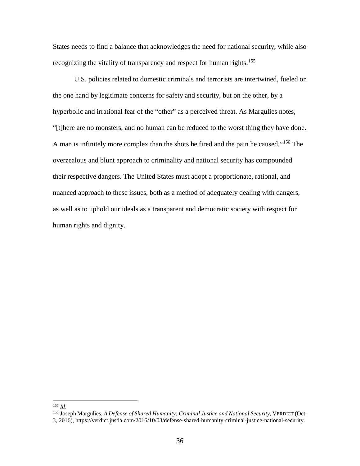States needs to find a balance that acknowledges the need for national security, while also recognizing the vitality of transparency and respect for human rights.<sup>[155](#page-36-0)</sup>

U.S. policies related to domestic criminals and terrorists are intertwined, fueled on the one hand by legitimate concerns for safety and security, but on the other, by a hyperbolic and irrational fear of the "other" as a perceived threat. As Margulies notes, "[t]here are no monsters, and no human can be reduced to the worst thing they have done. A man is infinitely more complex than the shots he fired and the pain he caused."[156](#page-36-1) The overzealous and blunt approach to criminality and national security has compounded their respective dangers. The United States must adopt a proportionate, rational, and nuanced approach to these issues, both as a method of adequately dealing with dangers, as well as to uphold our ideals as a transparent and democratic society with respect for human rights and dignity.

<span id="page-36-1"></span>

<span id="page-36-0"></span><sup>&</sup>lt;sup>155</sup> *Id.* 155 *Id.* 155 *Id.* 156 *Margulies, A Defense of Shared Humanity: Criminal Justice and National Security, VERDICT (Oct.* 156 *Joseph Margulies, A Defense of Shared Humanity: Criminal Justice and National Securi* 3, 2016), https://verdict.justia.com/2016/10/03/defense-shared-humanity-criminal-justice-national-security.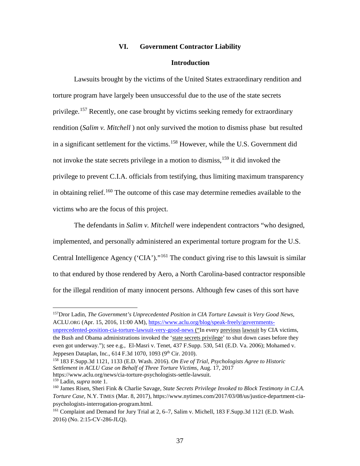#### **VI. Government Contractor Liability**

#### <span id="page-37-7"></span>**Introduction**

<span id="page-37-0"></span>Lawsuits brought by the victims of the United States extraordinary rendition and torture program have largely been unsuccessful due to the use of the state secrets privilege.<sup>[157](#page-37-1)</sup> Recently, one case brought by victims seeking remedy for extraordinary rendition (*Salim v. Mitchell* ) not only survived the motion to dismiss phase but resulted in a significant settlement for the victims. [158](#page-37-2) However, while the U.S. Government did not invoke the state secrets privilege in a motion to dismiss,<sup>[159](#page-37-3)</sup> it did invoked the privilege to prevent C.I.A. officials from testifying, thus limiting maximum transparency in obtaining relief. [160](#page-37-4) The outcome of this case may determine remedies available to the victims who are the focus of this project.

<span id="page-37-6"></span>The defendants in *Salim v. Mitchell* were independent contractors "who designed, implemented, and personally administered an experimental torture program for the U.S. Central Intelligence Agency ('CIA')."[161](#page-37-5) The conduct giving rise to this lawsuit is similar to that endured by those rendered by Aero, a North Carolina-based contractor responsible for the illegal rendition of many innocent persons. Although few cases of this sort have

<span id="page-37-1"></span> 157Dror Ladin, *The Government's Unprecedented Position in CIA Torture Lawsuit is Very Good News*, ACLU.ORG (Apr. 15, 2016, 11:00 AM)[, https://www.aclu.org/blog/speak-freely/governments](https://www.aclu.org/blog/speak-freely/governments-unprecedented-position-cia-torture-lawsuit-very-good-news)[unprecedented-position-cia-torture-lawsuit-very-good-news](https://www.aclu.org/blog/speak-freely/governments-unprecedented-position-cia-torture-lawsuit-very-good-news) ("In every [previous](https://www.aclu.org/cases/mohamed-et-al-v-jeppesen-dataplan-inc) [lawsuit](https://www.aclu.org/blog/speakeasy/jeppesen-part-1-our-very-public-secrets) by CIA victims,

<span id="page-37-2"></span><sup>158</sup> 183 F.Supp.3d 1121, 1133 (E.D. Wash. 2016). *On Eve of Trial, Psychologists Agree to Historic Settlement in ACLU Case on Behalf of Three Torture Victims,* Aug. 17, 2017 https://www.aclu.org/news/cia-torture-psychologists-settle-lawsuit.

the Bush and Obama administrations invoked the ['state secrets privilege'](https://www.aclu.org/background-state-secrets-privilege) to shut down cases before they even got underway."); see e.g., El-Masri v. Tenet, 437 F.Supp. 530, 541 (E.D. Va. 2006); Mohamed v. Jeppesen Dataplan, Inc., 614 F.3d 1070, 1093 (9<sup>th</sup> Cir. 2010).

<span id="page-37-3"></span><sup>159</sup> Ladin, *supra* note 1.

<span id="page-37-4"></span><sup>160</sup> James Risen, Sheri Fink & Charlie Savage, *State Secrets Privilege Invoked to Block Testimony in C.I.A. Torture Case*, N.Y. TIMES (Mar. 8, 2017), https://www.nytimes.com/2017/03/08/us/justice-department-ciapsychologists-interrogation-program.html.

<span id="page-37-5"></span><sup>161</sup> Complaint and Demand for Jury Trial at 2, 6–7, Salim v. Michell, 183 F.Supp.3d 1121 (E.D. Wash. 2016) (No. 2:15-CV-286-JLQ).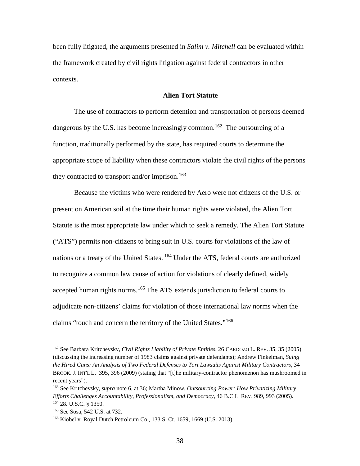been fully litigated, the arguments presented in *Salim v. Mitchell* can be evaluated within the framework created by civil rights litigation against federal contractors in other contexts.

#### **Alien Tort Statute**

The use of contractors to perform detention and transportation of persons deemed dangerous by the U.S. has become increasingly common.<sup>[162](#page-38-0)</sup> The outsourcing of a function, traditionally performed by the state, has required courts to determine the appropriate scope of liability when these contractors violate the civil rights of the persons they contracted to transport and/or imprison.<sup>[163](#page-38-1)</sup>

Because the victims who were rendered by Aero were not citizens of the U.S. or present on American soil at the time their human rights were violated, the Alien Tort Statute is the most appropriate law under which to seek a remedy. The Alien Tort Statute ("ATS") permits non-citizens to bring suit in U.S. courts for violations of the law of nations or a treaty of the United States. [164](#page-38-2) Under the ATS, federal courts are authorized to recognize a common law cause of action for violations of clearly defined, widely accepted human rights norms.<sup>[165](#page-38-3)</sup> The ATS extends jurisdiction to federal courts to adjudicate non-citizens' claims for violation of those international law norms when the claims "touch and concern the territory of the United States."[166](#page-38-4)

<span id="page-38-0"></span><sup>162</sup> See Barbara Kritchevsky, *Civil Rights Liability of Private Entities*, 26 CARDOZO L. REV. 35, 35 (2005) (discussing the increasing number of 1983 claims against private defendants); Andrew Finkelman, *Suing the Hired Guns: An Analysis of Two Federal Defenses to Tort Lawsuits Against Military Contractors*, 34 BROOK. J. INT'L L. 395, 396 (2009) (stating that "[t]he military-contractor phenomenon has mushroomed in recent years").

<span id="page-38-1"></span><sup>163</sup> See Kritchevsky, *supra* note 6, at 36; Martha Minow, *Outsourcing Power: How Privatizing Military Efforts Challenges Accountability, Professionalism, and Democracy*, 46 B.C.L. REV. 989, 993 (2005). 164 28. U.S.C. § 1350.

<span id="page-38-3"></span><span id="page-38-2"></span><sup>165</sup> See Sosa, 542 U.S. at 732.

<span id="page-38-4"></span><sup>166</sup> Kiobel v. Royal Dutch Petroleum Co., 133 S. Ct. 1659, 1669 (U.S. 2013).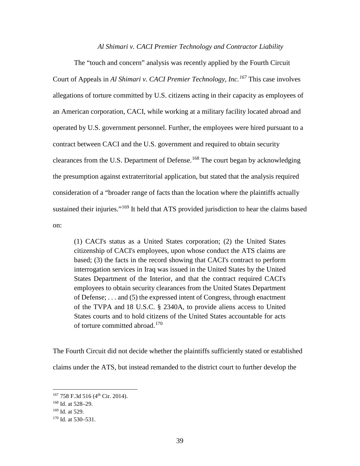#### *Al Shimari v. CACI Premier Technology and Contractor Liability*

The "touch and concern" analysis was recently applied by the Fourth Circuit Court of Appeals in *Al Shimari v. CACI Premier Technology, Inc.[167](#page-39-0)* This case involves allegations of torture committed by U.S. citizens acting in their capacity as employees of an American corporation, CACI, while working at a military facility located abroad and operated by U.S. government personnel. Further, the employees were hired pursuant to a contract between CACI and the U.S. government and required to obtain security clearances from the U.S. Department of Defense.<sup>[168](#page-39-1)</sup> The court began by acknowledging the presumption against extraterritorial application, but stated that the analysis required consideration of a "broader range of facts than the location where the plaintiffs actually sustained their injuries."<sup>[169](#page-39-2)</sup> It held that ATS provided jurisdiction to hear the claims based on:

(1) CACI's status as a United States corporation; (2) the United States citizenship of CACI's employees, upon whose conduct the ATS claims are based; (3) the facts in the record showing that CACI's contract to perform interrogation services in Iraq was issued in the United States by the United States Department of the Interior, and that the contract required CACI's employees to obtain security clearances from the United States Department of Defense; . . . and (5) the expressed intent of Congress, through enactment of the TVPA and 18 U.S.C. § 2340A, to provide aliens access to United States courts and to hold citizens of the United States accountable for acts of torture committed abroad.<sup>[170](#page-39-3)</sup>

The Fourth Circuit did not decide whether the plaintiffs sufficiently stated or established claims under the ATS, but instead remanded to the district court to further develop the

<span id="page-39-0"></span><sup>&</sup>lt;sup>167</sup> 758 F.3d 516 (4<sup>th</sup> Cir. 2014).

<span id="page-39-1"></span><sup>168</sup> Id. at 528–29.

<span id="page-39-2"></span><sup>169</sup> Id. at 529.

<span id="page-39-3"></span> $170$  Id. at 530–531.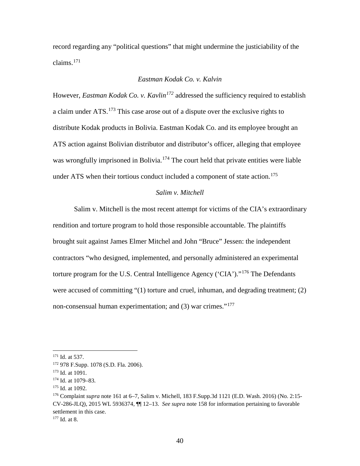record regarding any "political questions" that might undermine the justiciability of the claims. $171$ 

# *Eastman Kodak Co. v. Kalvin*

However, *Eastman Kodak Co. v. Kavlin[172](#page-40-1)* addressed the sufficiency required to establish a claim under ATS.<sup>[173](#page-40-2)</sup> This case arose out of a dispute over the exclusive rights to distribute Kodak products in Bolivia. Eastman Kodak Co. and its employee brought an ATS action against Bolivian distributor and distributor's officer, alleging that employee was wrongfully imprisoned in Bolivia.<sup>[174](#page-40-3)</sup> The court held that private entities were liable under ATS when their tortious conduct included a component of state action.<sup>175</sup>

#### *Salim v. Mitchell*

Salim v. Mitchell is the most recent attempt for victims of the CIA's extraordinary rendition and torture program to hold those responsible accountable. The plaintiffs brought suit against James Elmer Mitchel and John "Bruce" Jessen: the independent contractors "who designed, implemented, and personally administered an experimental torture program for the U.S. Central Intelligence Agency ('CIA')."[176](#page-40-5) The Defendants were accused of committing "(1) torture and cruel, inhuman, and degrading treatment; (2) non-consensual human experimentation; and  $(3)$  war crimes."<sup>[177](#page-40-6)</sup>

<span id="page-40-5"></span><sup>176</sup> Complaint *supra* note [161](#page-37-6) at 6–7, Salim v. Michell, 183 F.Supp.3d 1121 (E.D. Wash. 2016) (No. 2:15- CV-286-JLQ), 2015 WL 5936374, ¶¶ 12–13. *See supra* note [158](#page-37-7) for information pertaining to favorable settlement in this case.

<span id="page-40-6"></span><sup>177</sup> Id. at 8.

<span id="page-40-0"></span><sup>&</sup>lt;sup>171</sup> Id. at 537.

<span id="page-40-1"></span><sup>172</sup> 978 F.Supp. 1078 (S.D. Fla. 2006).

<span id="page-40-2"></span><sup>173</sup> Id. at 1091.

<span id="page-40-3"></span><sup>174</sup> Id. at 1079–83.

<span id="page-40-4"></span><sup>175</sup> Id. at 1092.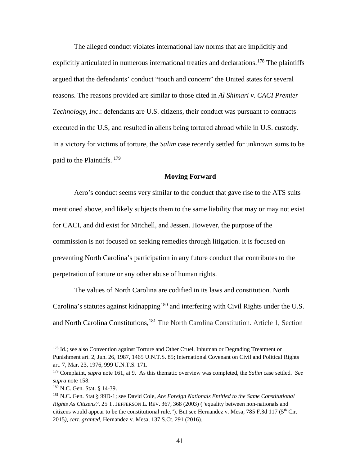The alleged conduct violates international law norms that are implicitly and explicitly articulated in numerous international treaties and declarations.<sup>[178](#page-41-0)</sup> The plaintiffs argued that the defendants' conduct "touch and concern" the United states for several reasons. The reasons provided are similar to those cited in *Al Shimari v. CACI Premier Technology, Inc*.: defendants are U.S. citizens, their conduct was pursuant to contracts executed in the U.S, and resulted in aliens being tortured abroad while in U.S. custody. In a victory for victims of torture, the *Salim* case recently settled for unknown sums to be paid to the Plaintiffs. <sup>[179](#page-41-1)</sup>

#### **Moving Forward**

Aero's conduct seems very similar to the conduct that gave rise to the ATS suits mentioned above, and likely subjects them to the same liability that may or may not exist for CACI, and did exist for Mitchell, and Jessen. However, the purpose of the commission is not focused on seeking remedies through litigation. It is focused on preventing North Carolina's participation in any future conduct that contributes to the perpetration of torture or any other abuse of human rights.

The values of North Carolina are codified in its laws and constitution. North Carolina's statutes against kidnapping<sup>[180](#page-41-2)</sup> and interfering with Civil Rights under the U.S. and North Carolina Constitutions, <sup>[181](#page-41-3)</sup> The North Carolina Constitution. Article 1, Section

<span id="page-41-0"></span><sup>&</sup>lt;sup>178</sup> Id.; see also Convention against Torture and Other Cruel, Inhuman or Degrading Treatment or Punishment art. 2, Jun. 26, 1987, 1465 U.N.T.S. 85; International Covenant on Civil and Political Rights art. 7, Mar. 23, 1976, 999 U.N.T.S. 171.

<span id="page-41-1"></span><sup>179</sup> Complaint, *supra* note [161,](#page-37-6) at 9. As this thematic overview was completed, the *Salim* case settled. *See supra* note [158.](#page-37-7)

<span id="page-41-2"></span><sup>180</sup> N.C. Gen. Stat. § 14-39.

<span id="page-41-3"></span><sup>181</sup> N.C. Gen. Stat § 99D-1; see David Cole, *Are Foreign Nationals Entitled to the Same Constitutional Rights As Citizens?*, 25 T. JEFFERSON L. REV. 367, 368 (2003) ("equality between non-nationals and citizens would appear to be the constitutional rule."). But see Hernandez v. Mesa, 785 F.3d 117 (5<sup>th</sup> Cir. 2015*), cert. granted*, Hernandez v. Mesa, 137 S.Ct. 291 (2016).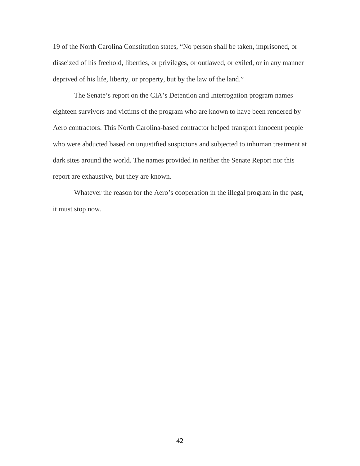19 of the North Carolina Constitution states, "No person shall be taken, imprisoned, or disseized of his freehold, liberties, or privileges, or outlawed, or exiled, or in any manner deprived of his life, liberty, or property, but by the law of the land."

The Senate's report on the CIA's Detention and Interrogation program names eighteen survivors and victims of the program who are known to have been rendered by Aero contractors. This North Carolina-based contractor helped transport innocent people who were abducted based on unjustified suspicions and subjected to inhuman treatment at dark sites around the world. The names provided in neither the Senate Report nor this report are exhaustive, but they are known.

Whatever the reason for the Aero's cooperation in the illegal program in the past, it must stop now.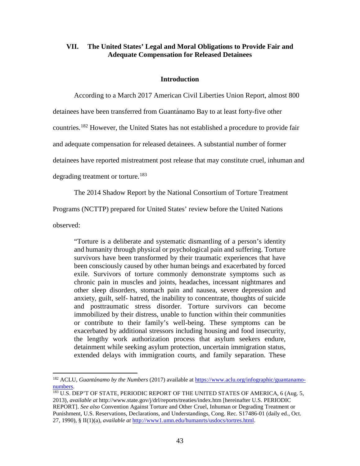# <span id="page-43-0"></span>**VII. The United States' Legal and Moral Obligations to Provide Fair and Adequate Compensation for Released Detainees**

# **Introduction**

According to a March 2017 American Civil Liberties Union Report, almost 800

detainees have been transferred from Guantá namo Bay to at least forty-five other

countries.[182](#page-43-1) However, the United States has not established a procedure to provide fair

and adequate compensation for released detainees. A substantial number of former

detainees have reported mistreatment post release that may constitute cruel, inhuman and

degrading treatment or torture.<sup>[183](#page-43-2)</sup>

The 2014 Shadow Report by the National Consortium of Torture Treatment

Programs (NCTTP) prepared for United States' review before the United Nations

observed:

"Torture is a deliberate and systematic dismantling of a person's identity and humanity through physical or psychological pain and suffering. Torture survivors have been transformed by their traumatic experiences that have been consciously caused by other human beings and exacerbated by forced exile. Survivors of torture commonly demonstrate symptoms such as chronic pain in muscles and joints, headaches, incessant nightmares and other sleep disorders, stomach pain and nausea, severe depression and anxiety, guilt, self- hatred, the inability to concentrate, thoughts of suicide and posttraumatic stress disorder. Torture survivors can become immobilized by their distress, unable to function within their communities or contribute to their family's well-being. These symptoms can be exacerbated by additional stressors including housing and food insecurity, the lengthy work authorization process that asylum seekers endure, detainment while seeking asylum protection, uncertain immigration status, extended delays with immigration courts, and family separation. These

<span id="page-43-1"></span><sup>182</sup> ACLU, *Guantánamo by the Numbers* (2017) available at [https://www.aclu.org/infographic/guantanamo](https://www.aclu.org/infographic/guantanamo-numbers)numbers.<br><sup>183</sup> U.S. DEP'T OF STATE, PERIODIC REPORT OF THE UNITED STATES OF AMERICA, 6 (Aug. 5,

<span id="page-43-2"></span><sup>2013),</sup> *available at* http://www.state.gov/j/drl/reports/treaties/index.htm [hereinafter U.S. PERIODIC REPORT]. *See also* Convention Against Torture and Other Cruel, Inhuman or Degrading Treatment or Punishment, U.S. Reservations, Declarations, and Understandings, Cong. Rec. S17486-01 (daily ed., Oct. 27, 1990), § II(1)(a), *available at* [http://www1.umn.edu/humanrts/usdocs/tortres.html.](http://www1.umn.edu/humanrts/usdocs/tortres.html)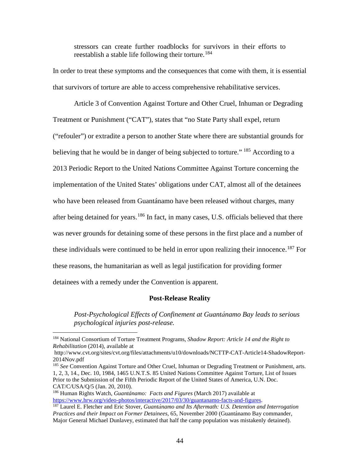stressors can create further roadblocks for survivors in their efforts to reestablish a stable life following their torture.<sup>[184](#page-44-0)</sup>

In order to treat these symptoms and the consequences that come with them, it is essential that survivors of torture are able to access comprehensive rehabilitative services.

Article 3 of Convention Against Torture and Other Cruel, Inhuman or Degrading Treatment or Punishment ("CAT"), states that "no State Party shall expel, return ("refouler") or extradite a person to another State where there are substantial grounds for believing that he would be in danger of being subjected to torture." <sup>[185](#page-44-1)</sup> According to a 2013 Periodic Report to the United Nations Committee Against Torture concerning the implementation of the United States' obligations under CAT, almost all of the detainees who have been released from Guantánamo have been released without charges, many after being detained for years.<sup>[186](#page-44-2)</sup> In fact, in many cases, U.S. officials believed that there was never grounds for detaining some of these persons in the first place and a number of these individuals were continued to be held in error upon realizing their innocence.<sup>[187](#page-44-3)</sup> For these reasons, the humanitarian as well as legal justification for providing former detainees with a remedy under the Convention is apparent.

#### <span id="page-44-5"></span><span id="page-44-4"></span>**Post-Release Reality**

*Post-Psychological Effects of Confinement at Guantánamo Bay leads to serious psychological injuries post-release.* 

<span id="page-44-0"></span><sup>184</sup> National Consortium of Torture Treatment Programs, *Shadow Report: Article 14 and the Right to Rehabilitation* (2014), available at

http://www.cvt.org/sites/cvt.org/files/attachments/u10/downloads/NCTTP-CAT-Article14-ShadowReport-2014Nov.pdf

<span id="page-44-1"></span><sup>185</sup> *See* Convention Against Torture and Other Cruel, Inhuman or Degrading Treatment or Punishment, arts. 1, 2, 3, 14., Dec. 10, 1984, 1465 U.N.T.S. 85 United Nations Committee Against Torture, List of Issues Prior to the Submission of the Fifth Periodic Report of the United States of America, U.N. Doc. CAT/C/USA/Q/5 (Jan. 20, 2010).

<span id="page-44-2"></span><sup>186</sup> Human Rights Watch, *Guantánamo: Facts and Figures* (March 2017) available at [https://www.hrw.org/video-photos/interactive/2017/03/30/guantanamo-facts-and-figures.](https://www.hrw.org/video-photos/interactive/2017/03/30/guantanamo-facts-and-figures) 187 Laurel E. Fletcher and Eric Stover, *Guantánamo and Its Aftermath: U.S. Detention and Interrogation* 

<span id="page-44-3"></span>*Practices and their Impact on Former Detainees*, 65, November 2000 (Guantá namo Bay commander, Major General Michael Dunlavey, estimated that half the camp population was mistakenly detained).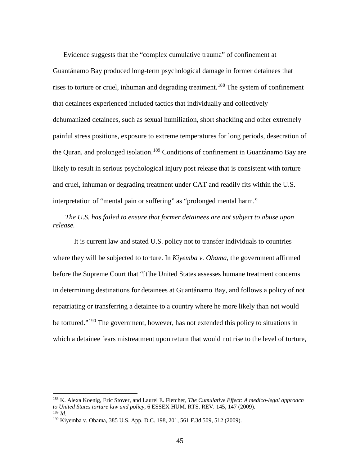Evidence suggests that the "complex cumulative trauma" of confinement at Guantánamo Bay produced long-term psychological damage in former detainees that rises to torture or cruel, inhuman and degrading treatment.<sup>[188](#page-45-0)</sup> The system of confinement that detainees experienced included tactics that individually and collectively dehumanized detainees, such as sexual humiliation, short shackling and other extremely painful stress positions, exposure to extreme temperatures for long periods, desecration of the Quran, and prolonged isolation.<sup>[189](#page-45-1)</sup> Conditions of confinement in Guantánamo Bay are likely to result in serious psychological injury post release that is consistent with torture and cruel, inhuman or degrading treatment under CAT and readily fits within the U.S. interpretation of "mental pain or suffering" as "prolonged mental harm."

*The U.S. has failed to ensure that former detainees are not subject to abuse upon release.* 

It is current law and stated U.S. policy not to transfer individuals to countries where they will be subjected to torture. In *Kiyemba v. Obama*, the government affirmed before the Supreme Court that "[t]he United States assesses humane treatment concerns in determining destinations for detainees at Guantánamo Bay, and follows a policy of not repatriating or transferring a detainee to a country where he more likely than not would be tortured."[190](#page-45-2) The government, however, has not extended this policy to situations in which a detainee fears mistreatment upon return that would not rise to the level of torture,

<span id="page-45-0"></span><sup>188</sup> K. Alexa Koenig, Eric Stover, and Laurel E. Fletcher, *The Cumulative Effect: A medico-legal approach to United States torture law and policy*, 6 ESSEX HUM. RTS. REV*.* 145, 147 (2009). <sup>189</sup> *Id.*

<span id="page-45-1"></span>

<span id="page-45-2"></span><sup>190</sup> Kiyemba v. Obama, 385 U.S. App. D.C. 198, 201, 561 F.3d 509, 512 (2009).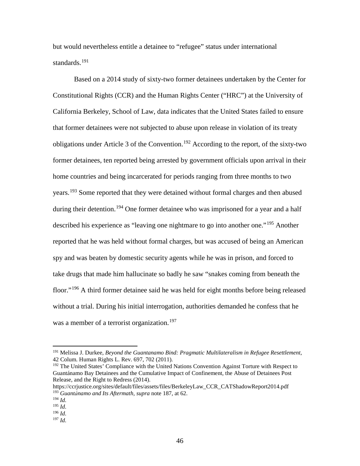<span id="page-46-8"></span>but would nevertheless entitle a detainee to "refugee" status under international standards.<sup>[191](#page-46-0)</sup>

<span id="page-46-7"></span>Based on a 2014 study of sixty-two former detainees undertaken by the Center for Constitutional Rights (CCR) and the Human Rights Center ("HRC") at the University of California Berkeley, School of Law, data indicates that the United States failed to ensure that former detainees were not subjected to abuse upon release in violation of its treaty obligations under Article 3 of the Convention.<sup>[192](#page-46-1)</sup> According to the report, of the sixty-two former detainees, ten reported being arrested by government officials upon arrival in their home countries and being incarcerated for periods ranging from three months to two years.<sup>[193](#page-46-2)</sup> Some reported that they were detained without formal charges and then abused during their detention.<sup>[194](#page-46-3)</sup> One former detainee who was imprisoned for a year and a half described his experience as "leaving one nightmare to go into another one."<sup>[195](#page-46-4)</sup> Another reported that he was held without formal charges, but was accused of being an American spy and was beaten by domestic security agents while he was in prison, and forced to take drugs that made him hallucinate so badly he saw "snakes coming from beneath the floor."[196](#page-46-5) A third former detainee said he was held for eight months before being released without a trial. During his initial interrogation, authorities demanded he confess that he was a member of a terrorist organization.<sup>[197](#page-46-6)</sup>

<span id="page-46-0"></span><sup>191</sup> Melissa J. Durkee, *Beyond the Guantanamo Bind: Pragmatic Multilateralism in Refugee Resettlement*, 42 Colum. Human Rights L. Rev. 697, 702 (2011).

<span id="page-46-1"></span><sup>&</sup>lt;sup>192</sup> The United States' Compliance with the United Nations Convention Against Torture with Respect to Guantánamo Bay Detainees and the Cumulative Impact of Confinement, the Abuse of Detainees Post Release, and the Right to Redress (2014).

<span id="page-46-2"></span>https://ccrjustice.org/sites/default/files/assets/files/BerkeleyLaw\_CCR\_CATShadowReport2014.pdf <sup>193</sup> *Guantánamo and Its Aftermath*, *supra* note [187,](#page-44-4) at 62.

<span id="page-46-3"></span> $194$  *Id.* 

<span id="page-46-4"></span> $195$  *Id.* <sup>196</sup> *Id.* 

<span id="page-46-6"></span><span id="page-46-5"></span><sup>197</sup> *Id.*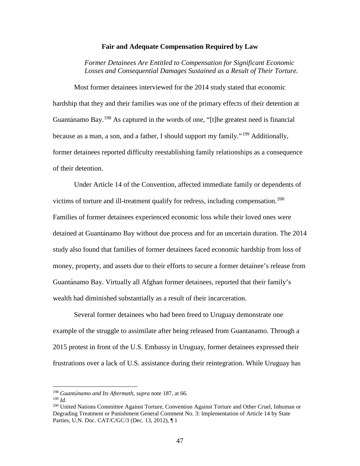#### **Fair and Adequate Compensation Required by Law**

*Former Detainees Are Entitled to Compensation for Significant Economic Losses and Consequential Damages Sustained as a Result of Their Torture.* 

Most former detainees interviewed for the 2014 study stated that economic hardship that they and their families was one of the primary effects of their detention at Guantánamo Bay.<sup>[198](#page-47-0)</sup> As captured in the words of one, "[t]he greatest need is financial because as a man, a son, and a father, I should support my family."<sup>[199](#page-47-1)</sup> Additionally, former detainees reported difficulty reestablishing family relationships as a consequence of their detention.

Under Article 14 of the Convention, affected immediate family or dependents of victims of torture and ill-treatment qualify for redress, including compensation.<sup>[200](#page-47-2)</sup> Families of former detainees experienced economic loss while their loved ones were detained at Guantá namo Bay without due process and for an uncertain duration. The 2014 study also found that families of former detainees faced economic hardship from loss of money, property, and assets due to their efforts to secure a former detainee's release from Guantá namo Bay. Virtually all Afghan former detainees, reported that their family's wealth had diminished substantially as a result of their incarceration.

Several former detainees who had been freed to Uruguay demonstrate one example of the struggle to assimilate after being released from Guantanamo. Through a 2015 protest in front of the U.S. Embassy in Uruguay, former detainees expressed their frustrations over a lack of U.S. assistance during their reintegration. While Uruguay has

<span id="page-47-0"></span><sup>198</sup> *Guantánamo and Its Aftermath*, *supra* note [187,](#page-44-4) at 66.

<span id="page-47-2"></span><span id="page-47-1"></span><sup>199</sup> *Id.*

<sup>200</sup> United Nations Committee Against Torture, Convention Against Torture and Other Cruel, Inhuman or Degrading Treatment or Punishment General Comment No. 3: Implementation of Article 14 by State Parties, U.N. Doc. CAT/C/GC/3 (Dec. 13, 2012), ¶ 1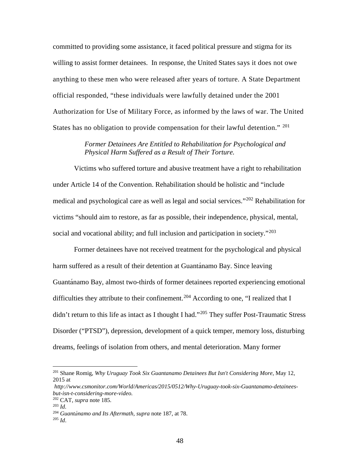committed to providing some assistance, it faced political pressure and stigma for its willing to assist former detainees. In response, the United States says it does not owe anything to these men who were released after years of torture. A State Department official responded, "these individuals were lawfully detained under the 2001 Authorization for Use of Military Force, as informed by the laws of war. The United States has no obligation to provide compensation for their lawful detention." <sup>[201](#page-48-0)</sup>

# *Former Detainees Are Entitled to Rehabilitation for Psychological and Physical Harm Suffered as a Result of Their Torture.*

Victims who suffered torture and abusive treatment have a right to rehabilitation under Article 14 of the Convention. Rehabilitation should be holistic and "include medical and psychological care as well as legal and social services."[202](#page-48-1) Rehabilitation for victims "should aim to restore, as far as possible, their independence, physical, mental, social and vocational ability; and full inclusion and participation in society."<sup>[203](#page-48-2)</sup>

Former detainees have not received treatment for the psychological and physical harm suffered as a result of their detention at Guantá namo Bay. Since leaving Guantá namo Bay, almost two-thirds of former detainees reported experiencing emotional difficulties they attribute to their confinement.<sup>[204](#page-48-3)</sup> According to one, "I realized that I didn't return to this life as intact as I thought I had."<sup>[205](#page-48-4)</sup> They suffer Post-Traumatic Stress Disorder ("PTSD"), depression, development of a quick temper, memory loss, disturbing dreams, feelings of isolation from others, and mental deterioration. Many former

<span id="page-48-0"></span><sup>201</sup> Shane Romig, *Why Uruguay Took Six Guantanamo Detainees But Isn't Considering More*, May 12, 2015 at

*http://www.csmonitor.com/World/Americas/2015/0512/Why-Uruguay-took-six-Guantanamo-detaineesbut-isn-t-considering-more-video.*

<sup>202</sup> CAT*, supra* note [185](#page-44-5)*.* 

<span id="page-48-3"></span><span id="page-48-2"></span><span id="page-48-1"></span><sup>203</sup> *Id.*

<span id="page-48-4"></span><sup>204</sup> *Guantánamo and Its Aftermath*, *supra* note [187,](#page-44-4) at 78. <sup>205</sup> *Id*.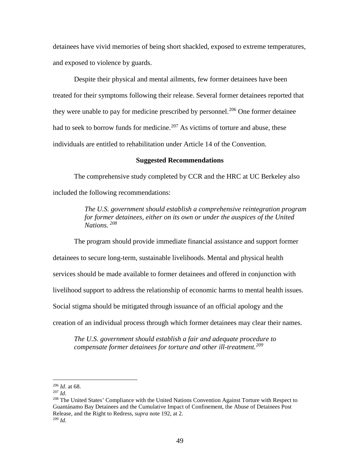detainees have vivid memories of being short shackled, exposed to extreme temperatures, and exposed to violence by guards.

Despite their physical and mental ailments, few former detainees have been treated for their symptoms following their release. Several former detainees reported that they were unable to pay for medicine prescribed by personnel.<sup>[206](#page-49-0)</sup> One former detainee had to seek to borrow funds for medicine.<sup>[207](#page-49-1)</sup> As victims of torture and abuse, these individuals are entitled to rehabilitation under Article 14 of the Convention.

#### **Suggested Recommendations**

The comprehensive study completed by CCR and the HRC at UC Berkeley also included the following recommendations:

> *The U.S. government should establish a comprehensive reintegration program for former detainees, either on its own or under the auspices of the United Nations. [208](#page-49-2)*

The program should provide immediate financial assistance and support former detainees to secure long-term, sustainable livelihoods. Mental and physical health services should be made available to former detainees and offered in conjunction with livelihood support to address the relationship of economic harms to mental health issues. Social stigma should be mitigated through issuance of an official apology and the creation of an individual process through which former detainees may clear their names.

*The U.S. government should establish a fair and adequate procedure to compensate former detainees for torture and other ill-treatment.[209](#page-49-3)*

<span id="page-49-3"></span><span id="page-49-2"></span><span id="page-49-1"></span><sup>208</sup> The United States' Compliance with the United Nations Convention Against Torture with Respect to Guantánamo Bay Detainees and the Cumulative Impact of Confinement, the Abuse of Detainees Post Release, and the Right to Redress, *supra* note [192,](#page-46-7) at 2. 209 *Id.*

<span id="page-49-0"></span><sup>206</sup> *Id*. at 68.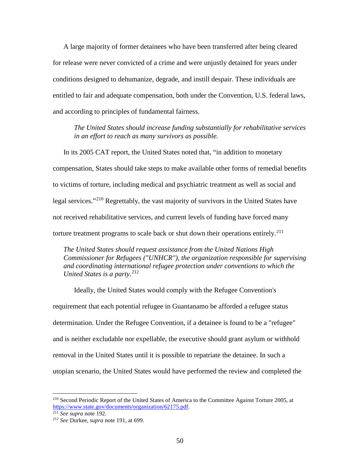A large majority of former detainees who have been transferred after being cleared for release were never convicted of a crime and were unjustly detained for years under conditions designed to dehumanize, degrade, and instill despair. These individuals are entitled to fair and adequate compensation, both under the Convention, U.S. federal laws, and according to principles of fundamental fairness.

*The United States should increase funding substantially for rehabilitative services in an effort to reach as many survivors as possible.* 

In its 2005 CAT report, the United States noted that, "in addition to monetary compensation, States should take steps to make available other forms of remedial benefits to victims of torture, including medical and psychiatric treatment as well as social and legal services."<sup>[210](#page-50-0)</sup> Regrettably, the vast majority of survivors in the United States have not received rehabilitative services, and current levels of funding have forced many torture treatment programs to scale back or shut down their operations entirely.<sup>[211](#page-50-1)</sup>

*The United States should request assistance from the United Nations High Commissioner for Refugees ("UNHCR"), the organization responsible for supervising and coordinating international refugee protection under conventions to which the United States is a party.*<sup>[212](#page-50-2)</sup>

Ideally, the United States would comply with the Refugee Convention's requirement that each potential refugee in Guantanamo be afforded a refugee status determination. Under the Refugee Convention, if a detainee is found to be a "refugee" and is neither excludable nor expellable, the executive should grant asylum or withhold removal in the United States until it is possible to repatriate the detainee. In such a utopian scenario, the United States would have performed the review and completed the

<span id="page-50-0"></span><sup>&</sup>lt;sup>210</sup> Second Periodic Report of the United States of America to the Committee Against Torture 2005, at [https://www.state.gov/documents/organization/62175.pdf.](https://www.state.gov/documents/organization/62175.pdf) 211 *See supra* note [192.](#page-46-7)

<span id="page-50-2"></span><span id="page-50-1"></span><sup>212</sup> *See* Durkee, *supra* note [191,](#page-46-8) at 699.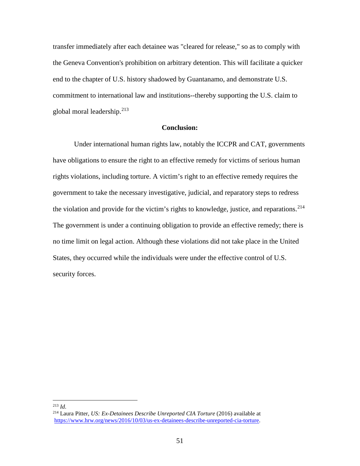transfer immediately after each detainee was "cleared for release," so as to comply with the Geneva Convention's prohibition on arbitrary detention. This will facilitate a quicker end to the chapter of U.S. history shadowed by Guantanamo, and demonstrate U.S. commitment to international law and institutions--thereby supporting the U.S. claim to global moral leadership.[213](#page-51-0)

# **Conclusion:**

Under international human rights law, notably the ICCPR and CAT, governments have obligations to ensure the right to an effective remedy for victims of serious human rights violations, including torture. A victim's right to an effective remedy requires the government to take the necessary investigative, judicial, and reparatory steps to redress the violation and provide for the victim's rights to knowledge, justice, and reparations.<sup>[214](#page-51-1)</sup> The government is under a continuing obligation to provide an effective remedy; there is no time limit on legal action. Although these violations did not take place in the United States, they occurred while the individuals were under the effective control of U.S. security forces.

<span id="page-51-0"></span><sup>213</sup> *Id.*

<span id="page-51-1"></span><sup>&</sup>lt;sup>214</sup> Laura Pitter, *US: Ex-Detainees Describe Unreported CIA Torture* (2016) available at [https://www.hrw.org/news/2016/10/03/us-ex-detainees-describe-unreported-cia-torture.](https://www.hrw.org/news/2016/10/03/us-ex-detainees-describe-unreported-cia-torture)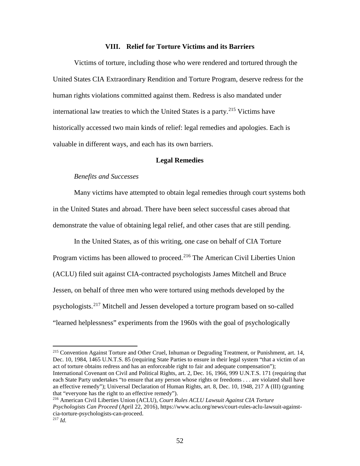#### **VIII. Relief for Torture Victims and its Barriers**

<span id="page-52-0"></span>Victims of torture, including those who were rendered and tortured through the United States CIA Extraordinary Rendition and Torture Program, deserve redress for the human rights violations committed against them. Redress is also mandated under international law treaties to which the United States is a party.<sup>[215](#page-52-1)</sup> Victims have historically accessed two main kinds of relief: legal remedies and apologies. Each is valuable in different ways, and each has its own barriers.

#### **Legal Remedies**

#### *Benefits and Successes*

Many victims have attempted to obtain legal remedies through court systems both in the United States and abroad. There have been select successful cases abroad that demonstrate the value of obtaining legal relief, and other cases that are still pending.

In the United States, as of this writing, one case on behalf of CIA Torture Program victims has been allowed to proceed.<sup>[216](#page-52-2)</sup> The American Civil Liberties Union (ACLU) filed suit against CIA-contracted psychologists James Mitchell and Bruce Jessen, on behalf of three men who were tortured using methods developed by the psychologists.[217](#page-52-3) Mitchell and Jessen developed a torture program based on so-called "learned helplessness" experiments from the 1960s with the goal of psychologically

<span id="page-52-1"></span><sup>215</sup> Convention Against Torture and Other Cruel, Inhuman or Degrading Treatment, or Punishment, art. 14, Dec. 10, 1984, 1465 U.N.T.S. 85 (requiring State Parties to ensure in their legal system "that a victim of an act of torture obtains redress and has an enforceable right to fair and adequate compensation"); International Covenant on Civil and Political Rights, art. 2, Dec. 16, 1966, 999 U.N.T.S. 171 (requiring that each State Party undertakes "to ensure that any person whose rights or freedoms . . . are violated shall have an effective remedy"); Universal Declaration of Human Rights, art. 8, Dec. 10, 1948, 217 A (III) (granting that "everyone has the right to an effective remedy").

<span id="page-52-3"></span><span id="page-52-2"></span><sup>216</sup> American Civil Liberties Union (ACLU), *Court Rules ACLU Lawsuit Against CIA Torture Psychologists Can Proceed* (April 22, 2016), https://www.aclu.org/news/court-rules-aclu-lawsuit-againstcia-torture-psychologists-can-proceed. <sup>217</sup> *Id.*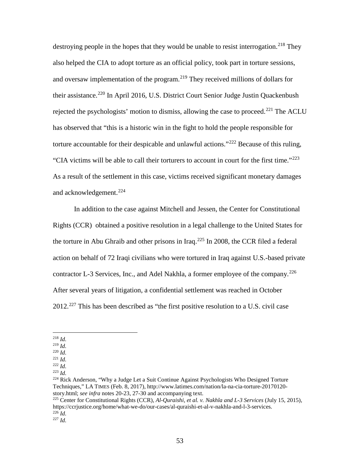destroying people in the hopes that they would be unable to resist interrogation.<sup>[218](#page-53-0)</sup> They also helped the CIA to adopt torture as an official policy, took part in torture sessions, and oversaw implementation of the program.<sup>[219](#page-53-1)</sup> They received millions of dollars for their assistance.<sup>[220](#page-53-2)</sup> In April 2016, U.S. District Court Senior Judge Justin Quackenbush rejected the psychologists' motion to dismiss, allowing the case to proceed.<sup>[221](#page-53-3)</sup> The ACLU has observed that "this is a historic win in the fight to hold the people responsible for torture accountable for their despicable and unlawful actions."<sup>[222](#page-53-4)</sup> Because of this ruling, "CIA victims will be able to call their torturers to account in court for the first time."[223](#page-53-5) As a result of the settlement in this case, victims received significant monetary damages and acknowledgement. [224](#page-53-6)

In addition to the case against Mitchell and Jessen, the Center for Constitutional Rights (CCR) obtained a positive resolution in a legal challenge to the United States for the torture in Abu Ghraib and other prisons in Iraq.<sup>[225](#page-53-7)</sup> In 2008, the CCR filed a federal action on behalf of 72 Iraqi civilians who were tortured in Iraq against U.S.-based private contractor L-3 Services, Inc., and Adel Nakhla, a former employee of the company.<sup>[226](#page-53-8)</sup> After several years of litigation, a confidential settlement was reached in October  $2012.<sup>227</sup>$  $2012.<sup>227</sup>$  $2012.<sup>227</sup>$  This has been described as "the first positive resolution to a U.S. civil case

<span id="page-53-0"></span><sup>218</sup> *Id.*

<span id="page-53-1"></span><sup>219</sup> *Id.*

<span id="page-53-2"></span><sup>220</sup> *Id.* <sup>221</sup> *Id.*

<span id="page-53-3"></span><sup>222</sup> *Id.*

<span id="page-53-5"></span><span id="page-53-4"></span><sup>223</sup> *Id.*

<span id="page-53-6"></span><sup>&</sup>lt;sup>224</sup> Rick Anderson, "Why a Judge Let a Suit Continue Against Psychologists Who Designed Torture Techniques," LA TIMES (Feb. 8, 2017), http://www.latimes.com/nation/la-na-cia-torture-20170120 story.html; *see infra* notes 20-23, 27-30 and accompanying text.

<span id="page-53-7"></span><sup>225</sup> Center for Constitutional Rights (CCR), *Al-Quraishi, et al. v. Nakhla and L-3 Services* (July 15, 2015), https://ccrjustice.org/home/what-we-do/our-cases/al-quraishi-et-al-v-nakhla-and-l-3-services.  $^{226}$ *Id.* 

<span id="page-53-9"></span><span id="page-53-8"></span> $\frac{1}{227}$  *Id.*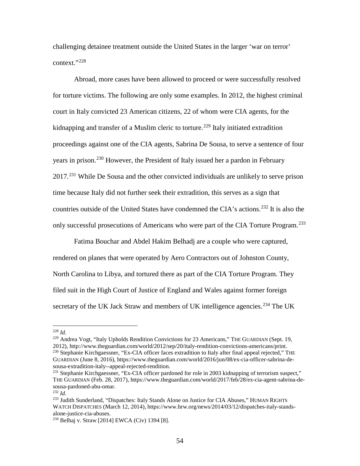challenging detainee treatment outside the United States in the larger 'war on terror' context."[228](#page-54-0)

Abroad, more cases have been allowed to proceed or were successfully resolved for torture victims. The following are only some examples. In 2012, the highest criminal court in Italy convicted 23 American citizens, 22 of whom were CIA agents, for the kidnapping and transfer of a Muslim cleric to torture.<sup>[229](#page-54-1)</sup> Italy initiated extradition proceedings against one of the CIA agents, Sabrina De Sousa, to serve a sentence of four years in prison.[230](#page-54-2) However, the President of Italy issued her a pardon in February  $2017<sup>231</sup>$  $2017<sup>231</sup>$  $2017<sup>231</sup>$  While De Sousa and the other convicted individuals are unlikely to serve prison time because Italy did not further seek their extradition, this serves as a sign that countries outside of the United States have condemned the CIA's actions.<sup>[232](#page-54-4)</sup> It is also the only successful prosecutions of Americans who were part of the CIA Torture Program.<sup>[233](#page-54-5)</sup>

Fatima Bouchar and Abdel Hakim Belhadj are a couple who were captured, rendered on planes that were operated by Aero Contractors out of Johnston County, North Carolina to Libya, and tortured there as part of the CIA Torture Program. They filed suit in the High Court of Justice of England and Wales against former foreign secretary of the UK Jack Straw and members of UK intelligence agencies.<sup>[234](#page-54-6)</sup> The UK

<span id="page-54-2"></span><span id="page-54-1"></span><sup>229</sup> Andrea Vogt, "Italy Upholds Rendition Convictions for 23 Americans," THE GUARDIAN (Sept. 19, 2012), http://www.theguardian.com/world/2012/sep/20/italy-rendition-convictions-americans/print. <sup>230</sup> Stephanie Kirchgaessner, "Ex-CIA officer faces extradition to Italy after final appeal rejected," THE GUARDIAN (June 8, 2016), https://www.theguardian.com/world/2016/jun/08/ex-cia-officer-sabrina-desousa-extradition-italy--appeal-rejected-rendition.

<span id="page-54-0"></span><sup>228</sup> *Id.*

<span id="page-54-3"></span><sup>&</sup>lt;sup>231</sup> Stephanie Kirchgaessner, "Ex-CIA officer pardoned for role in 2003 kidnapping of terrorism suspect," THE GUARDIAN (Feb. 28, 2017), https://www.theguardian.com/world/2017/feb/28/ex-cia-agent-sabrina-desousa-pardoned-abu-omar.

<span id="page-54-4"></span><sup>232</sup> *Id.*

<span id="page-54-5"></span><sup>233</sup> Judith Sunderland, "Dispatches: Italy Stands Alone on Justice for CIA Abuses," HUMAN RIGHTS WATCH DISPATCHES (March 12, 2014), https://www.hrw.org/news/2014/03/12/dispatches-italy-standsalone-justice-cia-abuses.

<span id="page-54-6"></span><sup>234</sup> Belhaj v. Straw [2014] EWCA (Civ) 1394 [8].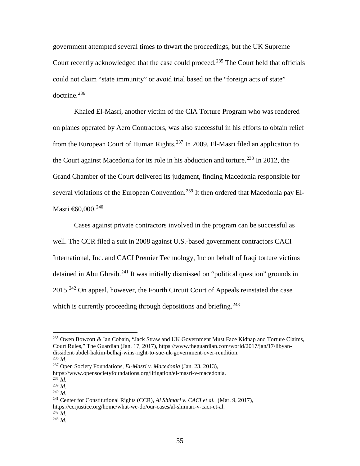<span id="page-55-10"></span>government attempted several times to thwart the proceedings, but the UK Supreme Court recently acknowledged that the case could proceed.<sup>[235](#page-55-0)</sup> The Court held that officials could not claim "state immunity" or avoid trial based on the "foreign acts of state" doctrine.[236](#page-55-1)

Khaled El-Masri, another victim of the CIA Torture Program who was rendered on planes operated by Aero Contractors, was also successful in his efforts to obtain relief from the European Court of Human Rights.<sup>[237](#page-55-2)</sup> In 2009, El-Masri filed an application to the Court against Macedonia for its role in his abduction and torture.<sup>[238](#page-55-3)</sup> In 2012, the Grand Chamber of the Court delivered its judgment, finding Macedonia responsible for several violations of the European Convention.<sup>[239](#page-55-4)</sup> It then ordered that Macedonia pay El-Masri  $\text{\textsterling}60,000$ .<sup>[240](#page-55-5)</sup>

<span id="page-55-9"></span>Cases against private contractors involved in the program can be successful as well. The CCR filed a suit in 2008 against U.S.-based government contractors CACI International, Inc. and CACI Premier Technology, Inc on behalf of Iraqi torture victims detained in Abu Ghraib.<sup>[241](#page-55-6)</sup> It was initially dismissed on "political question" grounds in 2015.[242](#page-55-7) On appeal, however, the Fourth Circuit Court of Appeals reinstated the case which is currently proceeding through depositions and briefing.<sup>[243](#page-55-8)</sup>

 $^{242}$  *Id.* 

<span id="page-55-0"></span><sup>&</sup>lt;sup>235</sup> Owen Bowcott & Ian Cobain, "Jack Straw and UK Government Must Face Kidnap and Torture Claims, Court Rules," The Guardian (Jan. 17, 2017), https://www.theguardian.com/world/2017/jan/17/libyandissident-abdel-hakim-belhaj-wins-right-to-sue-uk-government-over-rendition. <sup>236</sup> *Id.*

<span id="page-55-2"></span><span id="page-55-1"></span><sup>237</sup> Open Society Foundations, *El-Masri v. Macedonia* (Jan. 23, 2013),

https://www.opensocietyfoundations.org/litigation/el-masri-v-macedonia.

<span id="page-55-4"></span><span id="page-55-3"></span> $^{238}$ *Id.* <sup>239</sup> *Id.*

<span id="page-55-5"></span><sup>240</sup> *Id.*

<span id="page-55-6"></span><sup>&</sup>lt;sup>241</sup> Center for Constitutional Rights (CCR), *Al Shimari v. CACI et al.* (Mar. 9, 2017), https://ccrjustice.org/home/what-we-do/our-cases/al-shimari-v-caci-et-al.

<span id="page-55-8"></span><span id="page-55-7"></span> $^{143}$  *Id.*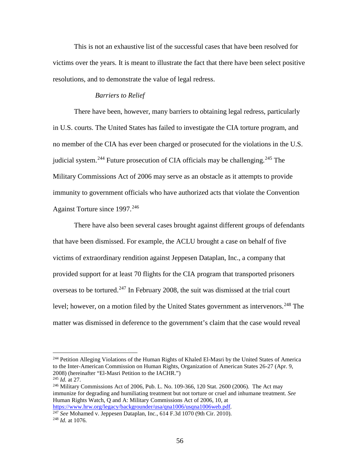This is not an exhaustive list of the successful cases that have been resolved for victims over the years. It is meant to illustrate the fact that there have been select positive resolutions, and to demonstrate the value of legal redress.

#### *Barriers to Relief*

There have been, however, many barriers to obtaining legal redress, particularly in U.S. courts. The United States has failed to investigate the CIA torture program, and no member of the CIA has ever been charged or prosecuted for the violations in the U.S. judicial system.<sup>[244](#page-56-0)</sup> Future prosecution of CIA officials may be challenging.<sup>[245](#page-56-1)</sup> The Military Commissions Act of 2006 may serve as an obstacle as it attempts to provide immunity to government officials who have authorized acts that violate the Convention Against Torture since 1997.<sup>[246](#page-56-2)</sup>

There have also been several cases brought against different groups of defendants that have been dismissed. For example, the ACLU brought a case on behalf of five victims of extraordinary rendition against Jeppesen Dataplan, Inc., a company that provided support for at least 70 flights for the CIA program that transported prisoners overseas to be tortured.<sup>[247](#page-56-3)</sup> In February 2008, the suit was dismissed at the trial court level; however, on a motion filed by the United States government as intervenors.<sup>[248](#page-56-4)</sup> The matter was dismissed in deference to the government's claim that the case would reveal

<span id="page-56-0"></span><sup>&</sup>lt;sup>244</sup> Petition Alleging Violations of the Human Rights of Khaled El-Masri by the United States of America to the Inter-American Commission on Human Rights, Organization of American States 26-27 (Apr. 9, 2008) (hereinafter "El-Masri Petition to the IACHR.")

<span id="page-56-1"></span><sup>245</sup> *Id.* at 27.

<span id="page-56-2"></span> $^{246}$  Military Commissions Act of 2006, Pub. L. No. 109-366, 120 Stat. 2600 (2006). The Act may immunize for degrading and humiliating treatment but not torture or cruel and inhumane treatment. *See*  Human Rights Watch, Q and A: Military Commissions Act of 2006, 10, at <https://www.hrw.org/legacy/backgrounder/usa/qna1006/usqna1006web.pdf>*.* 

<span id="page-56-4"></span><span id="page-56-3"></span><sup>&</sup>lt;sup>247</sup> *See* Mohamed v. Jeppesen Dataplan, Inc., 614 F.3d 1070 (9th Cir. 2010). <sup>248</sup> *Id.* at 1076.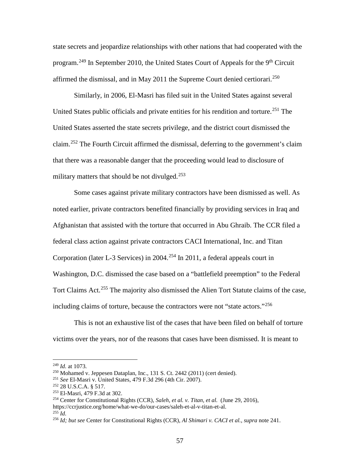state secrets and jeopardize relationships with other nations that had cooperated with the program.<sup>[249](#page-57-0)</sup> In September 2010, the United States Court of Appeals for the 9<sup>th</sup> Circuit affirmed the dismissal, and in May 2011 the Supreme Court denied certiorari.<sup>[250](#page-57-1)</sup>

Similarly, in 2006, El-Masri has filed suit in the United States against several United States public officials and private entities for his rendition and torture.<sup>[251](#page-57-2)</sup> The United States asserted the state secrets privilege, and the district court dismissed the claim.<sup>[252](#page-57-3)</sup> The Fourth Circuit affirmed the dismissal, deferring to the government's claim that there was a reasonable danger that the proceeding would lead to disclosure of military matters that should be not divulged. $253$ 

Some cases against private military contractors have been dismissed as well. As noted earlier, private contractors benefited financially by providing services in Iraq and Afghanistan that assisted with the torture that occurred in Abu Ghraib. The CCR filed a federal class action against private contractors CACI International, Inc. and Titan Corporation (later L-3 Services) in 2004.<sup>[254](#page-57-5)</sup> In 2011, a federal appeals court in Washington, D.C. dismissed the case based on a "battlefield preemption" to the Federal Tort Claims Act.<sup>[255](#page-57-6)</sup> The majority also dismissed the Alien Tort Statute claims of the case, including claims of torture, because the contractors were not "state actors."<sup>[256](#page-57-7)</sup>

This is not an exhaustive list of the cases that have been filed on behalf of torture victims over the years, nor of the reasons that cases have been dismissed. It is meant to

https://ccrjustice.org/home/what-we-do/our-cases/saleh-et-al-v-titan-et-al.

<span id="page-57-6"></span> $^{255}$  *Id.* 

<span id="page-57-1"></span><span id="page-57-0"></span><sup>249</sup> *Id.* at 1073.

 $250$  Mohamed v. Jeppesen Dataplan, Inc., 131 S. Ct. 2442 (2011) (cert denied).

<span id="page-57-2"></span><sup>251</sup> *See* El-Masri v. United States, 479 F.3d 296 (4th Cir. 2007).

<span id="page-57-3"></span><sup>252</sup> 28 U.S.C.A. § 517.

<span id="page-57-4"></span><sup>253</sup> El-Masri, 479 F.3d at 302.

<span id="page-57-5"></span><sup>254</sup> Center for Constitutional Rights (CCR), *Saleh, et al. v. Titan, et al.* (June 29, 2016),

<span id="page-57-7"></span><sup>256</sup> *Id; but see* Center for Constitutional Rights (CCR), *Al Shimari v. CACI et al., supra* note [241.](#page-55-9)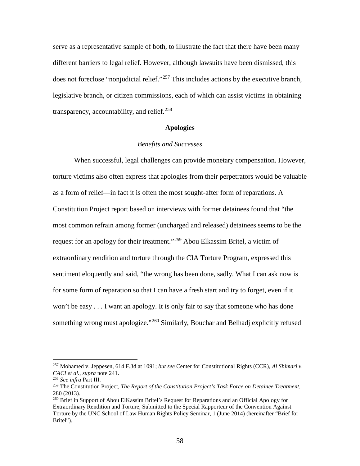serve as a representative sample of both, to illustrate the fact that there have been many different barriers to legal relief. However, although lawsuits have been dismissed, this does not foreclose "nonjudicial relief."<sup>[257](#page-58-0)</sup> This includes actions by the executive branch, legislative branch, or citizen commissions, each of which can assist victims in obtaining transparency, accountability, and relief.<sup>[258](#page-58-1)</sup>

#### **Apologies**

#### *Benefits and Successes*

When successful, legal challenges can provide monetary compensation. However, torture victims also often express that apologies from their perpetrators would be valuable as a form of relief—in fact it is often the most sought-after form of reparations. A Constitution Project report based on interviews with former detainees found that "the most common refrain among former (uncharged and released) detainees seems to be the request for an apology for their treatment."<sup>[259](#page-58-2)</sup> Abou Elkassim Britel, a victim of extraordinary rendition and torture through the CIA Torture Program, expressed this sentiment eloquently and said, "the wrong has been done, sadly. What I can ask now is for some form of reparation so that I can have a fresh start and try to forget, even if it won't be easy . . . I want an apology. It is only fair to say that someone who has done something wrong must apologize."<sup>[260](#page-58-3)</sup> Similarly, Bouchar and Belhadj explicitly refused

<span id="page-58-0"></span><sup>257</sup> Mohamed v. Jeppesen, 614 F.3d at 1091; *but see* Center for Constitutional Rights (CCR), *Al Shimari v. CACI et al., supra* note [241.](#page-55-9)

<span id="page-58-2"></span><span id="page-58-1"></span><sup>258</sup> *See infra* Part III.

<sup>259</sup> The Constitution Project, *The Report of the Constitution Project's Task Force on Detainee Treatment,*  280 (2013).

<span id="page-58-3"></span><sup>&</sup>lt;sup>260</sup> Brief in Support of Abou ElKassim Britel's Request for Reparations and an Official Apology for Extraordinary Rendition and Torture, Submitted to the Special Rapporteur of the Convention Against Torture by the UNC School of Law Human Rights Policy Seminar, 1 (June 2014) (hereinafter "Brief for Britel").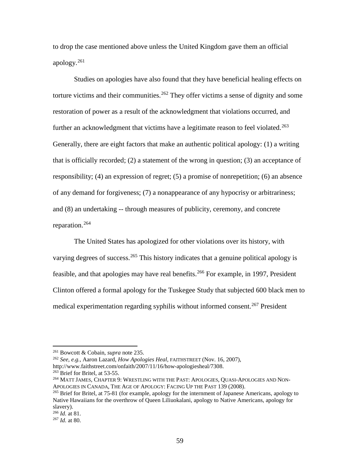to drop the case mentioned above unless the United Kingdom gave them an official apology. $261$ 

Studies on apologies have also found that they have beneficial healing effects on torture victims and their communities.<sup>[262](#page-59-1)</sup> They offer victims a sense of dignity and some restoration of power as a result of the acknowledgment that violations occurred, and further an acknowledgment that victims have a legitimate reason to feel violated.<sup>[263](#page-59-2)</sup> Generally, there are eight factors that make an authentic political apology: (1) a writing that is officially recorded; (2) a statement of the wrong in question; (3) an acceptance of responsibility; (4) an expression of regret; (5) a promise of nonrepetition; (6) an absence of any demand for forgiveness; (7) a nonappearance of any hypocrisy or arbitrariness; and (8) an undertaking -- through measures of publicity, ceremony, and concrete reparation.[264](#page-59-3)

The United States has apologized for other violations over its history, with varying degrees of success.<sup>[265](#page-59-4)</sup> This history indicates that a genuine political apology is feasible, and that apologies may have real benefits.[266](#page-59-5) For example, in 1997, President Clinton offered a formal apology for the Tuskegee Study that subjected 600 black men to medical experimentation regarding syphilis without informed consent.<sup>[267](#page-59-6)</sup> President

<span id="page-59-0"></span><sup>261</sup> Bowcott & Cobain, *supra* note [235.](#page-55-10)

<span id="page-59-1"></span><sup>262</sup> *See, e.g.,* Aaron Lazard, *How Apologies Heal,* FAITHSTREET (Nov. 16, 2007),

http://www.faithstreet.com/onfaith/2007/11/16/how-apologiesheal/7308.

<span id="page-59-2"></span> $263$  Brief for Britel, at 53-55.

<span id="page-59-3"></span><sup>264</sup> MATT JAMES, CHAPTER 9: WRESTLING WITH THE PAST: APOLOGIES, QUASI-APOLOGIES AND NON-APOLOGIES IN CANADA, THE AGE OF APOLOGY: FACING UP THE PAST 139 (2008).

<span id="page-59-4"></span><sup>&</sup>lt;sup>265</sup> Brief for Britel, at 75-81 (for example, apology for the internment of Japanese Americans, apology to Native Hawaiians for the overthrow of Queen Liliuokalani, apology to Native Americans, apology for slavery).<br> $^{266}$  *Id.* at 81.

<span id="page-59-5"></span>

<span id="page-59-6"></span><sup>&</sup>lt;sup>267</sup> *Id.* at 80.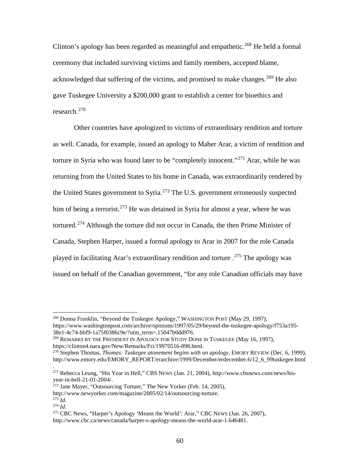Clinton's apology has been regarded as meaningful and empathetic.<sup>[268](#page-60-0)</sup> He held a formal ceremony that included surviving victims and family members, accepted blame, acknowledged that suffering of the victims, and promised to make changes.<sup>[269](#page-60-1)</sup> He also gave Tuskegee University a \$200,000 grant to establish a center for bioethics and research.[270](#page-60-2)

Other countries have apologized to victims of extraordinary rendition and torture as well. Canada, for example, issued an apology to Maher Arar, a victim of rendition and torture in Syria who was found later to be "completely innocent."<sup>[271](#page-60-3)</sup> Arar, while he was returning from the United States to his home in Canada, was extraordinarily rendered by the United States government to Syria.[272](#page-60-4) The U.S. government erroneously suspected him of being a terrorist.<sup>[273](#page-60-5)</sup> He was detained in Syria for almost a year, where he was tortured.<sup>[274](#page-60-6)</sup> Although the torture did not occur in Canada, the then Prime Minister of Canada, Stephen Harper, issued a formal apology to Arar in 2007 for the role Canada played in facilitating Arar's extraordinary rendition and torture  $.^{275}$  $.^{275}$  $.^{275}$  The apology was issued on behalf of the Canadian government, "for any role Canadian officials may have

.

<span id="page-60-0"></span><sup>268</sup> Donna Franklin, "Beyond the Tuskegee Apology," WASHINGTON POST (May 29, 1997), https://www.washingtonpost.com/archive/opinions/1997/05/29/beyond-the-tuskegee-apology/f753a195- 38e1-4c74-bbf9-1a75f0386c9e/?utm\_term=.15047b0dd976.

<span id="page-60-1"></span><sup>&</sup>lt;sup>269</sup> REMARKS BY THE PRESIDENT IN APOLOGY FOR STUDY DONE IN TUSKEGEE (May 16, 1997), https://clinton4.nara.gov/New/Remarks/Fri/19970516-898.html.

<span id="page-60-2"></span><sup>270</sup> Stephen Thomas, *Thomas: Tuskegee atonement begins with an apology,* EMORY REVIEW (Dec. 6, 1999), http://www.emory.edu/EMORY\_REPORT/erarchive/1999/December/erdecember.6/12\_6\_99tuskegee.html

<span id="page-60-3"></span><sup>&</sup>lt;sup>271</sup> Rebecca Leung, "His Year in Hell," CBS NEWS (Jan. 21, 2004), http://www.cbsnews.com/news/hisyear-in-hell-21-01-2004/.

<span id="page-60-4"></span> $^{272}$  Jane Mayer, "Outsourcing Torture," The New Yorker (Feb. 14, 2005),

http://www.newyorker.com/magazine/2005/02/14/outsourcing-torture.

<span id="page-60-5"></span> $273$  *Id.* 

<span id="page-60-6"></span><sup>274</sup> *Id.*

<span id="page-60-7"></span><sup>&</sup>lt;sup>275</sup> CBC News, "Harper's Apology 'Means the World': Arar," CBC NEWS (Jan. 26, 2007), http://www.cbc.ca/news/canada/harper-s-apology-means-the-world-arar-1.646481.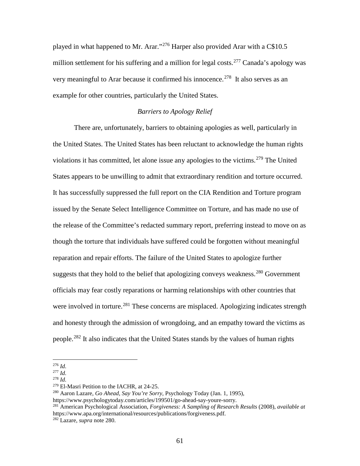played in what happened to Mr. Arar."<sup>[276](#page-61-1)</sup> Harper also provided Arar with a C\$10.5 million settlement for his suffering and a million for legal costs.<sup>[277](#page-61-2)</sup> Canada's apology was very meaningful to Arar because it confirmed his innocence.<sup>278</sup> It also serves as an example for other countries, particularly the United States.

#### <span id="page-61-0"></span>*Barriers to Apology Relief*

There are, unfortunately, barriers to obtaining apologies as well, particularly in the United States. The United States has been reluctant to acknowledge the human rights violations it has committed, let alone issue any apologies to the victims.<sup>[279](#page-61-4)</sup> The United States appears to be unwilling to admit that extraordinary rendition and torture occurred. It has successfully suppressed the full report on the CIA Rendition and Torture program issued by the Senate Select Intelligence Committee on Torture, and has made no use of the release of the Committee's redacted summary report, preferring instead to move on as though the torture that individuals have suffered could be forgotten without meaningful reparation and repair efforts. The failure of the United States to apologize further suggests that they hold to the belief that apologizing conveys weakness.<sup>[280](#page-61-5)</sup> Government officials may fear costly reparations or harming relationships with other countries that were involved in torture.<sup>[281](#page-61-6)</sup> These concerns are misplaced. Apologizing indicates strength and honesty through the admission of wrongdoing, and an empathy toward the victims as people.<sup>[282](#page-61-7)</sup> It also indicates that the United States stands by the values of human rights

<span id="page-61-1"></span><sup>276</sup> *Id.*

<span id="page-61-2"></span><sup>277</sup> *Id.*

<span id="page-61-3"></span><sup>278</sup> *Id.*

<span id="page-61-4"></span><sup>279</sup> El-Masri Petition to the IACHR, at 24-25.

<span id="page-61-5"></span><sup>280</sup> Aaron Lazare, *Go Ahead, Say You're Sorry,* Psychology Today (Jan. 1, 1995),

https://www.psychologytoday.com/articles/199501/go-ahead-say-youre-sorry.

<span id="page-61-6"></span><sup>281</sup> American Psychological Association, *Forgiveness: A Sampling of Research Results* (2008), *available at*  https://www.apa.org/international/resources/publications/forgiveness.pdf.

<span id="page-61-7"></span><sup>282</sup> Lazare, *supra* note [280.](#page-61-0)